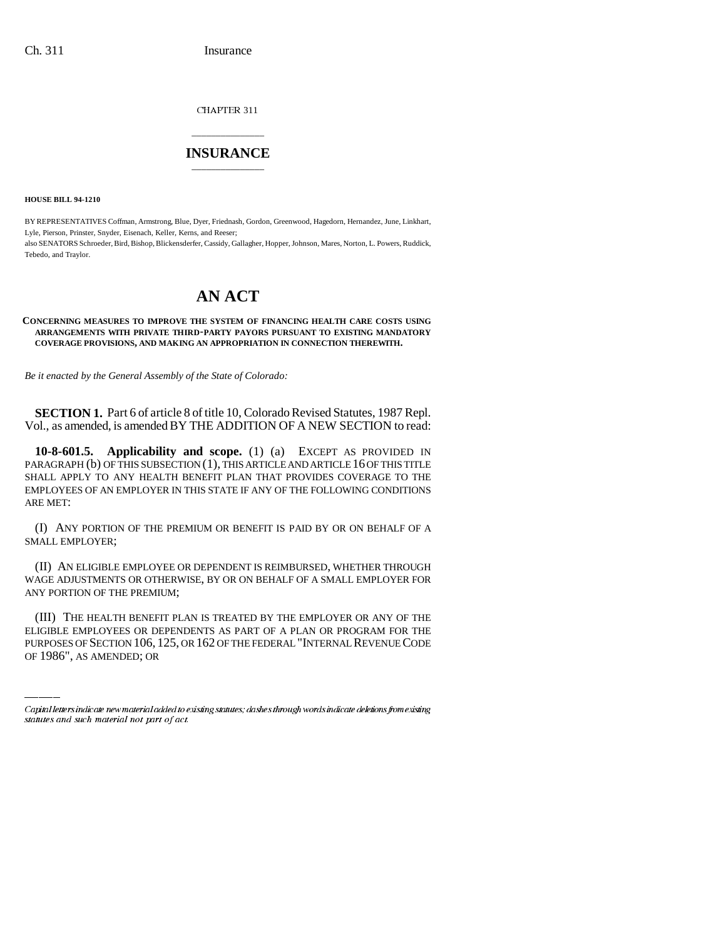CHAPTER 311

## \_\_\_\_\_\_\_\_\_\_\_\_\_\_\_ **INSURANCE** \_\_\_\_\_\_\_\_\_\_\_\_\_\_\_

**HOUSE BILL 94-1210**

BY REPRESENTATIVES Coffman, Armstrong, Blue, Dyer, Friednash, Gordon, Greenwood, Hagedorn, Hernandez, June, Linkhart, Lyle, Pierson, Prinster, Snyder, Eisenach, Keller, Kerns, and Reeser; also SENATORS Schroeder, Bird, Bishop, Blickensderfer, Cassidy, Gallagher, Hopper, Johnson, Mares, Norton, L. Powers, Ruddick, Tebedo, and Traylor.

# **AN ACT**

### **CONCERNING MEASURES TO IMPROVE THE SYSTEM OF FINANCING HEALTH CARE COSTS USING ARRANGEMENTS WITH PRIVATE THIRD-PARTY PAYORS PURSUANT TO EXISTING MANDATORY COVERAGE PROVISIONS, AND MAKING AN APPROPRIATION IN CONNECTION THEREWITH.**

*Be it enacted by the General Assembly of the State of Colorado:*

**SECTION 1.** Part 6 of article 8 of title 10, Colorado Revised Statutes, 1987 Repl. Vol., as amended, is amended BY THE ADDITION OF A NEW SECTION to read:

**10-8-601.5. Applicability and scope.** (1) (a) EXCEPT AS PROVIDED IN PARAGRAPH (b) OF THIS SUBSECTION (1), THIS ARTICLE AND ARTICLE 16 OF THIS TITLE SHALL APPLY TO ANY HEALTH BENEFIT PLAN THAT PROVIDES COVERAGE TO THE EMPLOYEES OF AN EMPLOYER IN THIS STATE IF ANY OF THE FOLLOWING CONDITIONS ARE MET:

(I) ANY PORTION OF THE PREMIUM OR BENEFIT IS PAID BY OR ON BEHALF OF A SMALL EMPLOYER;

(II) AN ELIGIBLE EMPLOYEE OR DEPENDENT IS REIMBURSED, WHETHER THROUGH WAGE ADJUSTMENTS OR OTHERWISE, BY OR ON BEHALF OF A SMALL EMPLOYER FOR ANY PORTION OF THE PREMIUM;

(III) THE HEALTH BENEFIT PLAN IS TREATED BY THE EMPLOYER OR ANY OF THE ELIGIBLE EMPLOYEES OR DEPENDENTS AS PART OF A PLAN OR PROGRAM FOR THE PURPOSES OF SECTION 106, 125, OR 162 OF THE FEDERAL "INTERNAL REVENUE CODE OF 1986", AS AMENDED; OR

Capital letters indicate new material added to existing statutes; dashes through words indicate deletions from existing statutes and such material not part of act.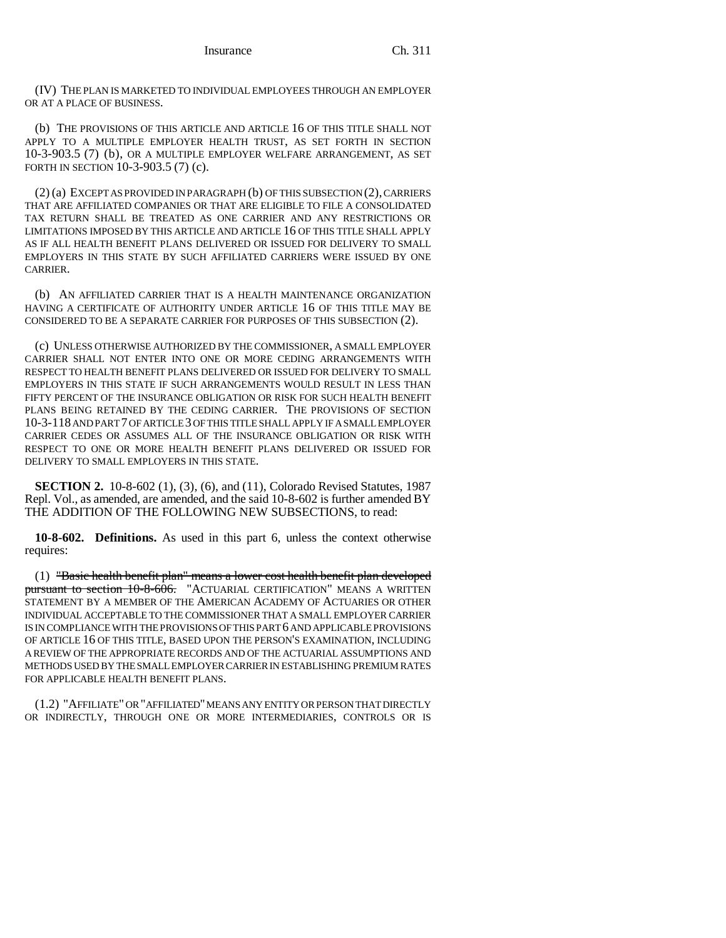(IV) THE PLAN IS MARKETED TO INDIVIDUAL EMPLOYEES THROUGH AN EMPLOYER OR AT A PLACE OF BUSINESS.

(b) THE PROVISIONS OF THIS ARTICLE AND ARTICLE 16 OF THIS TITLE SHALL NOT APPLY TO A MULTIPLE EMPLOYER HEALTH TRUST, AS SET FORTH IN SECTION 10-3-903.5 (7) (b), OR A MULTIPLE EMPLOYER WELFARE ARRANGEMENT, AS SET FORTH IN SECTION 10-3-903.5 (7) (c).

(2) (a) EXCEPT AS PROVIDED IN PARAGRAPH (b) OF THIS SUBSECTION (2), CARRIERS THAT ARE AFFILIATED COMPANIES OR THAT ARE ELIGIBLE TO FILE A CONSOLIDATED TAX RETURN SHALL BE TREATED AS ONE CARRIER AND ANY RESTRICTIONS OR LIMITATIONS IMPOSED BY THIS ARTICLE AND ARTICLE 16 OF THIS TITLE SHALL APPLY AS IF ALL HEALTH BENEFIT PLANS DELIVERED OR ISSUED FOR DELIVERY TO SMALL EMPLOYERS IN THIS STATE BY SUCH AFFILIATED CARRIERS WERE ISSUED BY ONE CARRIER.

(b) AN AFFILIATED CARRIER THAT IS A HEALTH MAINTENANCE ORGANIZATION HAVING A CERTIFICATE OF AUTHORITY UNDER ARTICLE 16 OF THIS TITLE MAY BE CONSIDERED TO BE A SEPARATE CARRIER FOR PURPOSES OF THIS SUBSECTION (2).

(c) UNLESS OTHERWISE AUTHORIZED BY THE COMMISSIONER, A SMALL EMPLOYER CARRIER SHALL NOT ENTER INTO ONE OR MORE CEDING ARRANGEMENTS WITH RESPECT TO HEALTH BENEFIT PLANS DELIVERED OR ISSUED FOR DELIVERY TO SMALL EMPLOYERS IN THIS STATE IF SUCH ARRANGEMENTS WOULD RESULT IN LESS THAN FIFTY PERCENT OF THE INSURANCE OBLIGATION OR RISK FOR SUCH HEALTH BENEFIT PLANS BEING RETAINED BY THE CEDING CARRIER. THE PROVISIONS OF SECTION 10-3-118 AND PART 7 OF ARTICLE 3 OF THIS TITLE SHALL APPLY IF A SMALL EMPLOYER CARRIER CEDES OR ASSUMES ALL OF THE INSURANCE OBLIGATION OR RISK WITH RESPECT TO ONE OR MORE HEALTH BENEFIT PLANS DELIVERED OR ISSUED FOR DELIVERY TO SMALL EMPLOYERS IN THIS STATE.

**SECTION 2.** 10-8-602 (1), (3), (6), and (11), Colorado Revised Statutes, 1987 Repl. Vol., as amended, are amended, and the said 10-8-602 is further amended BY THE ADDITION OF THE FOLLOWING NEW SUBSECTIONS, to read:

**10-8-602. Definitions.** As used in this part 6, unless the context otherwise requires:

(1) "Basic health benefit plan" means a lower cost health benefit plan developed pursuant to section 10-8-606. "ACTUARIAL CERTIFICATION" MEANS A WRITTEN STATEMENT BY A MEMBER OF THE AMERICAN ACADEMY OF ACTUARIES OR OTHER INDIVIDUAL ACCEPTABLE TO THE COMMISSIONER THAT A SMALL EMPLOYER CARRIER IS IN COMPLIANCE WITH THE PROVISIONS OF THIS PART 6 AND APPLICABLE PROVISIONS OF ARTICLE 16 OF THIS TITLE, BASED UPON THE PERSON'S EXAMINATION, INCLUDING A REVIEW OF THE APPROPRIATE RECORDS AND OF THE ACTUARIAL ASSUMPTIONS AND METHODS USED BY THE SMALL EMPLOYER CARRIER IN ESTABLISHING PREMIUM RATES FOR APPLICABLE HEALTH BENEFIT PLANS.

(1.2) "AFFILIATE" OR "AFFILIATED" MEANS ANY ENTITY OR PERSON THAT DIRECTLY OR INDIRECTLY, THROUGH ONE OR MORE INTERMEDIARIES, CONTROLS OR IS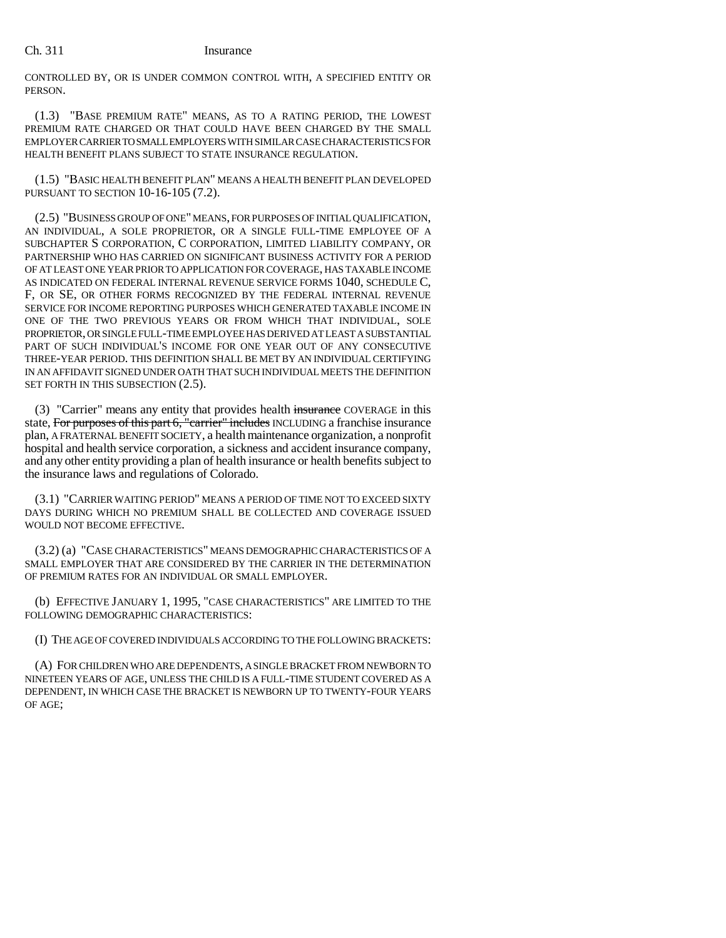CONTROLLED BY, OR IS UNDER COMMON CONTROL WITH, A SPECIFIED ENTITY OR PERSON.

(1.3) "BASE PREMIUM RATE" MEANS, AS TO A RATING PERIOD, THE LOWEST PREMIUM RATE CHARGED OR THAT COULD HAVE BEEN CHARGED BY THE SMALL EMPLOYER CARRIER TO SMALL EMPLOYERS WITH SIMILAR CASE CHARACTERISTICS FOR HEALTH BENEFIT PLANS SUBJECT TO STATE INSURANCE REGULATION.

(1.5) "BASIC HEALTH BENEFIT PLAN" MEANS A HEALTH BENEFIT PLAN DEVELOPED PURSUANT TO SECTION 10-16-105 (7.2).

(2.5) "BUSINESS GROUP OF ONE" MEANS, FOR PURPOSES OF INITIAL QUALIFICATION, AN INDIVIDUAL, A SOLE PROPRIETOR, OR A SINGLE FULL-TIME EMPLOYEE OF A SUBCHAPTER S CORPORATION, C CORPORATION, LIMITED LIABILITY COMPANY, OR PARTNERSHIP WHO HAS CARRIED ON SIGNIFICANT BUSINESS ACTIVITY FOR A PERIOD OF AT LEAST ONE YEAR PRIOR TO APPLICATION FOR COVERAGE, HAS TAXABLE INCOME AS INDICATED ON FEDERAL INTERNAL REVENUE SERVICE FORMS 1040, SCHEDULE C, F, OR SE, OR OTHER FORMS RECOGNIZED BY THE FEDERAL INTERNAL REVENUE SERVICE FOR INCOME REPORTING PURPOSES WHICH GENERATED TAXABLE INCOME IN ONE OF THE TWO PREVIOUS YEARS OR FROM WHICH THAT INDIVIDUAL, SOLE PROPRIETOR, OR SINGLE FULL-TIME EMPLOYEE HAS DERIVED AT LEAST A SUBSTANTIAL PART OF SUCH INDIVIDUAL'S INCOME FOR ONE YEAR OUT OF ANY CONSECUTIVE THREE-YEAR PERIOD. THIS DEFINITION SHALL BE MET BY AN INDIVIDUAL CERTIFYING IN AN AFFIDAVIT SIGNED UNDER OATH THAT SUCH INDIVIDUAL MEETS THE DEFINITION SET FORTH IN THIS SUBSECTION  $(2.5)$ .

(3) "Carrier" means any entity that provides health insurance COVERAGE in this state, For purposes of this part 6, "carrier" includes INCLUDING a franchise insurance plan, A FRATERNAL BENEFIT SOCIETY, a health maintenance organization, a nonprofit hospital and health service corporation, a sickness and accident insurance company, and any other entity providing a plan of health insurance or health benefits subject to the insurance laws and regulations of Colorado.

(3.1) "CARRIER WAITING PERIOD" MEANS A PERIOD OF TIME NOT TO EXCEED SIXTY DAYS DURING WHICH NO PREMIUM SHALL BE COLLECTED AND COVERAGE ISSUED WOULD NOT BECOME EFFECTIVE.

(3.2) (a) "CASE CHARACTERISTICS" MEANS DEMOGRAPHIC CHARACTERISTICS OF A SMALL EMPLOYER THAT ARE CONSIDERED BY THE CARRIER IN THE DETERMINATION OF PREMIUM RATES FOR AN INDIVIDUAL OR SMALL EMPLOYER.

(b) EFFECTIVE JANUARY 1, 1995, "CASE CHARACTERISTICS" ARE LIMITED TO THE FOLLOWING DEMOGRAPHIC CHARACTERISTICS:

(I) THE AGE OF COVERED INDIVIDUALS ACCORDING TO THE FOLLOWING BRACKETS:

(A) FOR CHILDREN WHO ARE DEPENDENTS, A SINGLE BRACKET FROM NEWBORN TO NINETEEN YEARS OF AGE, UNLESS THE CHILD IS A FULL-TIME STUDENT COVERED AS A DEPENDENT, IN WHICH CASE THE BRACKET IS NEWBORN UP TO TWENTY-FOUR YEARS OF AGE;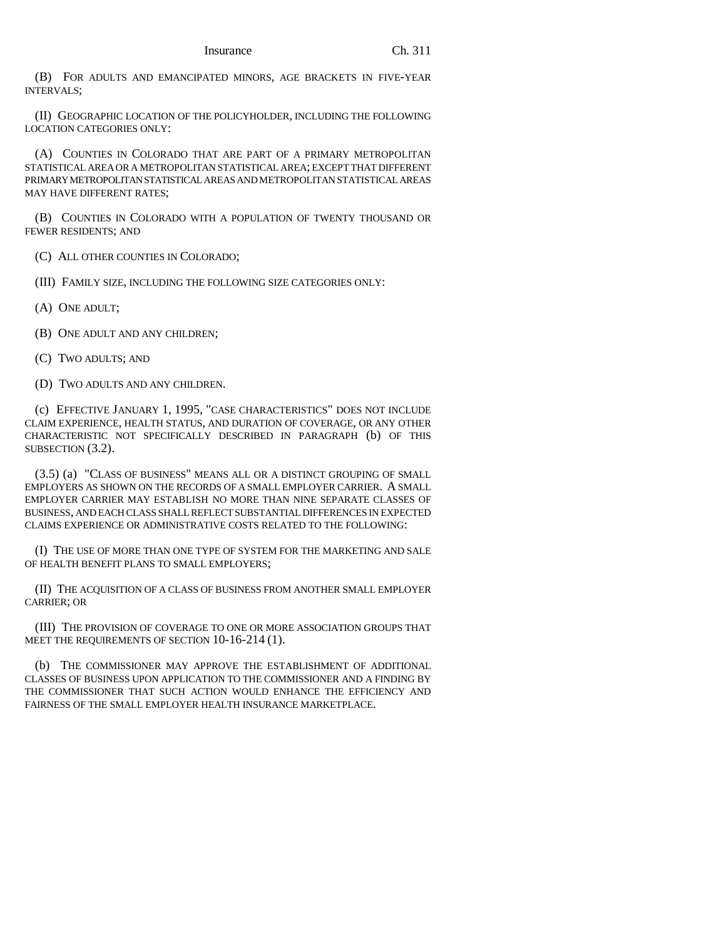(B) FOR ADULTS AND EMANCIPATED MINORS, AGE BRACKETS IN FIVE-YEAR INTERVALS;

(II) GEOGRAPHIC LOCATION OF THE POLICYHOLDER, INCLUDING THE FOLLOWING LOCATION CATEGORIES ONLY:

(A) COUNTIES IN COLORADO THAT ARE PART OF A PRIMARY METROPOLITAN STATISTICAL AREA OR A METROPOLITAN STATISTICAL AREA; EXCEPT THAT DIFFERENT PRIMARY METROPOLITAN STATISTICAL AREAS AND METROPOLITAN STATISTICAL AREAS MAY HAVE DIFFERENT RATES;

(B) COUNTIES IN COLORADO WITH A POPULATION OF TWENTY THOUSAND OR FEWER RESIDENTS; AND

(C) ALL OTHER COUNTIES IN COLORADO;

(III) FAMILY SIZE, INCLUDING THE FOLLOWING SIZE CATEGORIES ONLY:

(A) ONE ADULT;

(B) ONE ADULT AND ANY CHILDREN;

(C) TWO ADULTS; AND

(D) TWO ADULTS AND ANY CHILDREN.

(c) EFFECTIVE JANUARY 1, 1995, "CASE CHARACTERISTICS" DOES NOT INCLUDE CLAIM EXPERIENCE, HEALTH STATUS, AND DURATION OF COVERAGE, OR ANY OTHER CHARACTERISTIC NOT SPECIFICALLY DESCRIBED IN PARAGRAPH (b) OF THIS SUBSECTION (3.2).

(3.5) (a) "CLASS OF BUSINESS" MEANS ALL OR A DISTINCT GROUPING OF SMALL EMPLOYERS AS SHOWN ON THE RECORDS OF A SMALL EMPLOYER CARRIER. A SMALL EMPLOYER CARRIER MAY ESTABLISH NO MORE THAN NINE SEPARATE CLASSES OF BUSINESS, AND EACH CLASS SHALL REFLECT SUBSTANTIAL DIFFERENCES IN EXPECTED CLAIMS EXPERIENCE OR ADMINISTRATIVE COSTS RELATED TO THE FOLLOWING:

(I) THE USE OF MORE THAN ONE TYPE OF SYSTEM FOR THE MARKETING AND SALE OF HEALTH BENEFIT PLANS TO SMALL EMPLOYERS;

(II) THE ACQUISITION OF A CLASS OF BUSINESS FROM ANOTHER SMALL EMPLOYER CARRIER; OR

(III) THE PROVISION OF COVERAGE TO ONE OR MORE ASSOCIATION GROUPS THAT MEET THE REQUIREMENTS OF SECTION 10-16-214 (1).

(b) THE COMMISSIONER MAY APPROVE THE ESTABLISHMENT OF ADDITIONAL CLASSES OF BUSINESS UPON APPLICATION TO THE COMMISSIONER AND A FINDING BY THE COMMISSIONER THAT SUCH ACTION WOULD ENHANCE THE EFFICIENCY AND FAIRNESS OF THE SMALL EMPLOYER HEALTH INSURANCE MARKETPLACE.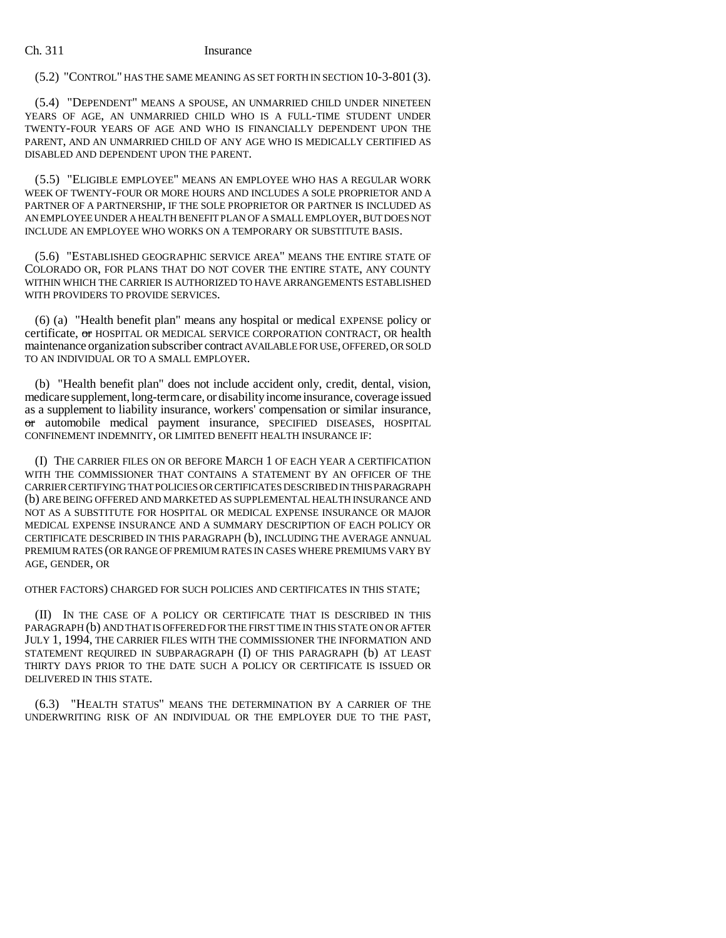## (5.2) "CONTROL" HAS THE SAME MEANING AS SET FORTH IN SECTION 10-3-801 (3).

(5.4) "DEPENDENT" MEANS A SPOUSE, AN UNMARRIED CHILD UNDER NINETEEN YEARS OF AGE, AN UNMARRIED CHILD WHO IS A FULL-TIME STUDENT UNDER TWENTY-FOUR YEARS OF AGE AND WHO IS FINANCIALLY DEPENDENT UPON THE PARENT, AND AN UNMARRIED CHILD OF ANY AGE WHO IS MEDICALLY CERTIFIED AS DISABLED AND DEPENDENT UPON THE PARENT.

(5.5) "ELIGIBLE EMPLOYEE" MEANS AN EMPLOYEE WHO HAS A REGULAR WORK WEEK OF TWENTY-FOUR OR MORE HOURS AND INCLUDES A SOLE PROPRIETOR AND A PARTNER OF A PARTNERSHIP, IF THE SOLE PROPRIETOR OR PARTNER IS INCLUDED AS AN EMPLOYEE UNDER A HEALTH BENEFIT PLAN OF A SMALL EMPLOYER, BUT DOES NOT INCLUDE AN EMPLOYEE WHO WORKS ON A TEMPORARY OR SUBSTITUTE BASIS.

(5.6) "ESTABLISHED GEOGRAPHIC SERVICE AREA" MEANS THE ENTIRE STATE OF COLORADO OR, FOR PLANS THAT DO NOT COVER THE ENTIRE STATE, ANY COUNTY WITHIN WHICH THE CARRIER IS AUTHORIZED TO HAVE ARRANGEMENTS ESTABLISHED WITH PROVIDERS TO PROVIDE SERVICES.

(6) (a) "Health benefit plan" means any hospital or medical EXPENSE policy or certificate, or HOSPITAL OR MEDICAL SERVICE CORPORATION CONTRACT, OR health maintenance organization subscriber contract AVAILABLE FOR USE, OFFERED, OR SOLD TO AN INDIVIDUAL OR TO A SMALL EMPLOYER.

(b) "Health benefit plan" does not include accident only, credit, dental, vision, medicare supplement, long-term care, or disability income insurance, coverage issued as a supplement to liability insurance, workers' compensation or similar insurance, or automobile medical payment insurance, SPECIFIED DISEASES, HOSPITAL CONFINEMENT INDEMNITY, OR LIMITED BENEFIT HEALTH INSURANCE IF:

(I) THE CARRIER FILES ON OR BEFORE MARCH 1 OF EACH YEAR A CERTIFICATION WITH THE COMMISSIONER THAT CONTAINS A STATEMENT BY AN OFFICER OF THE CARRIER CERTIFYING THAT POLICIES OR CERTIFICATES DESCRIBED IN THIS PARAGRAPH (b) ARE BEING OFFERED AND MARKETED AS SUPPLEMENTAL HEALTH INSURANCE AND NOT AS A SUBSTITUTE FOR HOSPITAL OR MEDICAL EXPENSE INSURANCE OR MAJOR MEDICAL EXPENSE INSURANCE AND A SUMMARY DESCRIPTION OF EACH POLICY OR CERTIFICATE DESCRIBED IN THIS PARAGRAPH (b), INCLUDING THE AVERAGE ANNUAL PREMIUM RATES (OR RANGE OF PREMIUM RATES IN CASES WHERE PREMIUMS VARY BY AGE, GENDER, OR

OTHER FACTORS) CHARGED FOR SUCH POLICIES AND CERTIFICATES IN THIS STATE;

(II) IN THE CASE OF A POLICY OR CERTIFICATE THAT IS DESCRIBED IN THIS PARAGRAPH (b) AND THAT IS OFFERED FOR THE FIRST TIME IN THIS STATE ON OR AFTER JULY 1, 1994, THE CARRIER FILES WITH THE COMMISSIONER THE INFORMATION AND STATEMENT REQUIRED IN SUBPARAGRAPH (I) OF THIS PARAGRAPH (b) AT LEAST THIRTY DAYS PRIOR TO THE DATE SUCH A POLICY OR CERTIFICATE IS ISSUED OR DELIVERED IN THIS STATE.

(6.3) "HEALTH STATUS" MEANS THE DETERMINATION BY A CARRIER OF THE UNDERWRITING RISK OF AN INDIVIDUAL OR THE EMPLOYER DUE TO THE PAST,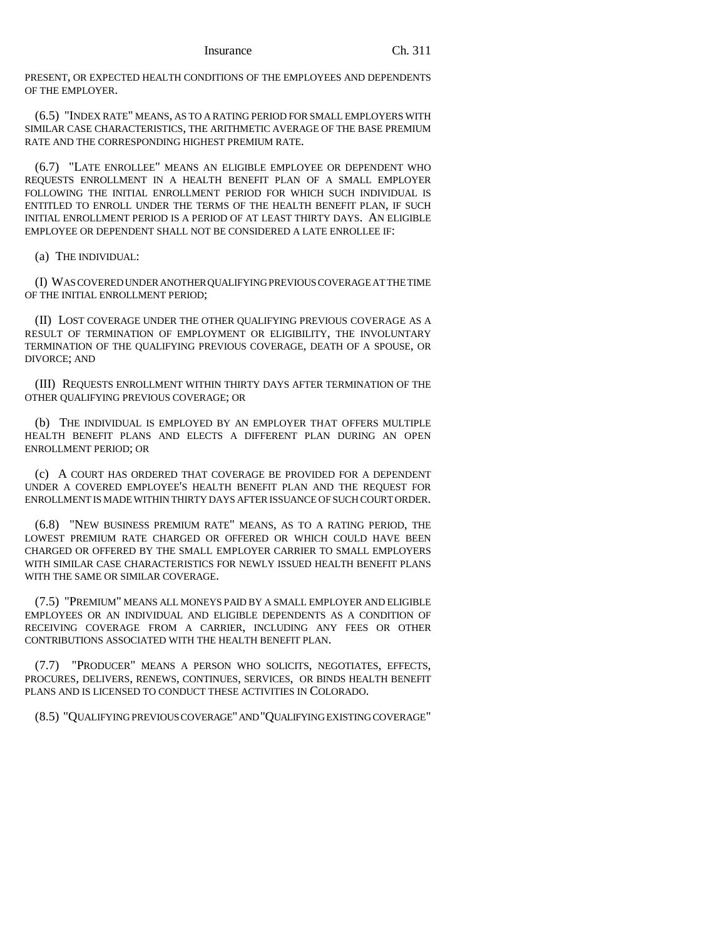PRESENT, OR EXPECTED HEALTH CONDITIONS OF THE EMPLOYEES AND DEPENDENTS OF THE EMPLOYER.

(6.5) "INDEX RATE" MEANS, AS TO A RATING PERIOD FOR SMALL EMPLOYERS WITH SIMILAR CASE CHARACTERISTICS, THE ARITHMETIC AVERAGE OF THE BASE PREMIUM RATE AND THE CORRESPONDING HIGHEST PREMIUM RATE.

(6.7) "LATE ENROLLEE" MEANS AN ELIGIBLE EMPLOYEE OR DEPENDENT WHO REQUESTS ENROLLMENT IN A HEALTH BENEFIT PLAN OF A SMALL EMPLOYER FOLLOWING THE INITIAL ENROLLMENT PERIOD FOR WHICH SUCH INDIVIDUAL IS ENTITLED TO ENROLL UNDER THE TERMS OF THE HEALTH BENEFIT PLAN, IF SUCH INITIAL ENROLLMENT PERIOD IS A PERIOD OF AT LEAST THIRTY DAYS. AN ELIGIBLE EMPLOYEE OR DEPENDENT SHALL NOT BE CONSIDERED A LATE ENROLLEE IF:

(a) THE INDIVIDUAL:

(I) WAS COVERED UNDER ANOTHER QUALIFYING PREVIOUS COVERAGE AT THE TIME OF THE INITIAL ENROLLMENT PERIOD;

(II) LOST COVERAGE UNDER THE OTHER QUALIFYING PREVIOUS COVERAGE AS A RESULT OF TERMINATION OF EMPLOYMENT OR ELIGIBILITY, THE INVOLUNTARY TERMINATION OF THE QUALIFYING PREVIOUS COVERAGE, DEATH OF A SPOUSE, OR DIVORCE; AND

(III) REQUESTS ENROLLMENT WITHIN THIRTY DAYS AFTER TERMINATION OF THE OTHER QUALIFYING PREVIOUS COVERAGE; OR

(b) THE INDIVIDUAL IS EMPLOYED BY AN EMPLOYER THAT OFFERS MULTIPLE HEALTH BENEFIT PLANS AND ELECTS A DIFFERENT PLAN DURING AN OPEN ENROLLMENT PERIOD; OR

(c) A COURT HAS ORDERED THAT COVERAGE BE PROVIDED FOR A DEPENDENT UNDER A COVERED EMPLOYEE'S HEALTH BENEFIT PLAN AND THE REQUEST FOR ENROLLMENT IS MADE WITHIN THIRTY DAYS AFTER ISSUANCE OF SUCH COURT ORDER.

(6.8) "NEW BUSINESS PREMIUM RATE" MEANS, AS TO A RATING PERIOD, THE LOWEST PREMIUM RATE CHARGED OR OFFERED OR WHICH COULD HAVE BEEN CHARGED OR OFFERED BY THE SMALL EMPLOYER CARRIER TO SMALL EMPLOYERS WITH SIMILAR CASE CHARACTERISTICS FOR NEWLY ISSUED HEALTH BENEFIT PLANS WITH THE SAME OR SIMILAR COVERAGE.

(7.5) "PREMIUM" MEANS ALL MONEYS PAID BY A SMALL EMPLOYER AND ELIGIBLE EMPLOYEES OR AN INDIVIDUAL AND ELIGIBLE DEPENDENTS AS A CONDITION OF RECEIVING COVERAGE FROM A CARRIER, INCLUDING ANY FEES OR OTHER CONTRIBUTIONS ASSOCIATED WITH THE HEALTH BENEFIT PLAN.

"PRODUCER" MEANS A PERSON WHO SOLICITS, NEGOTIATES, EFFECTS, PROCURES, DELIVERS, RENEWS, CONTINUES, SERVICES, OR BINDS HEALTH BENEFIT PLANS AND IS LICENSED TO CONDUCT THESE ACTIVITIES IN COLORADO.

(8.5) "QUALIFYING PREVIOUS COVERAGE" AND "QUALIFYING EXISTING COVERAGE"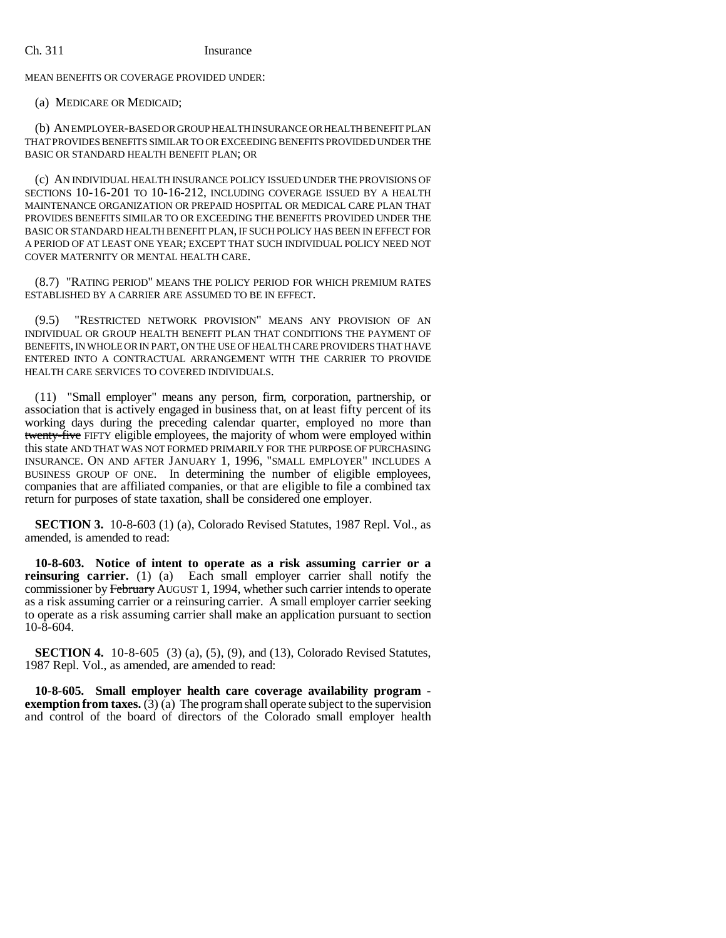MEAN BENEFITS OR COVERAGE PROVIDED UNDER:

(a) MEDICARE OR MEDICAID;

(b) AN EMPLOYER-BASED OR GROUP HEALTH INSURANCE OR HEALTH BENEFIT PLAN THAT PROVIDES BENEFITS SIMILAR TO OR EXCEEDING BENEFITS PROVIDED UNDER THE BASIC OR STANDARD HEALTH BENEFIT PLAN; OR

(c) AN INDIVIDUAL HEALTH INSURANCE POLICY ISSUED UNDER THE PROVISIONS OF SECTIONS 10-16-201 TO 10-16-212, INCLUDING COVERAGE ISSUED BY A HEALTH MAINTENANCE ORGANIZATION OR PREPAID HOSPITAL OR MEDICAL CARE PLAN THAT PROVIDES BENEFITS SIMILAR TO OR EXCEEDING THE BENEFITS PROVIDED UNDER THE BASIC OR STANDARD HEALTH BENEFIT PLAN, IF SUCH POLICY HAS BEEN IN EFFECT FOR A PERIOD OF AT LEAST ONE YEAR; EXCEPT THAT SUCH INDIVIDUAL POLICY NEED NOT COVER MATERNITY OR MENTAL HEALTH CARE.

(8.7) "RATING PERIOD" MEANS THE POLICY PERIOD FOR WHICH PREMIUM RATES ESTABLISHED BY A CARRIER ARE ASSUMED TO BE IN EFFECT.

(9.5) "RESTRICTED NETWORK PROVISION" MEANS ANY PROVISION OF AN INDIVIDUAL OR GROUP HEALTH BENEFIT PLAN THAT CONDITIONS THE PAYMENT OF BENEFITS, IN WHOLE OR IN PART, ON THE USE OF HEALTH CARE PROVIDERS THAT HAVE ENTERED INTO A CONTRACTUAL ARRANGEMENT WITH THE CARRIER TO PROVIDE HEALTH CARE SERVICES TO COVERED INDIVIDUALS.

(11) "Small employer" means any person, firm, corporation, partnership, or association that is actively engaged in business that, on at least fifty percent of its working days during the preceding calendar quarter, employed no more than twenty-five FIFTY eligible employees, the majority of whom were employed within this state AND THAT WAS NOT FORMED PRIMARILY FOR THE PURPOSE OF PURCHASING INSURANCE. ON AND AFTER JANUARY 1, 1996, "SMALL EMPLOYER" INCLUDES A BUSINESS GROUP OF ONE. In determining the number of eligible employees, companies that are affiliated companies, or that are eligible to file a combined tax return for purposes of state taxation, shall be considered one employer.

**SECTION 3.** 10-8-603 (1) (a), Colorado Revised Statutes, 1987 Repl. Vol., as amended, is amended to read:

**10-8-603. Notice of intent to operate as a risk assuming carrier or a reinsuring carrier.** (1) (a) Each small employer carrier shall notify the commissioner by February AUGUST 1, 1994, whether such carrier intends to operate as a risk assuming carrier or a reinsuring carrier. A small employer carrier seeking to operate as a risk assuming carrier shall make an application pursuant to section  $10 - 8 - 604$ .

**SECTION 4.** 10-8-605 (3) (a), (5), (9), and (13), Colorado Revised Statutes, 1987 Repl. Vol., as amended, are amended to read:

**10-8-605. Small employer health care coverage availability program exemption from taxes.** (3) (a) The program shall operate subject to the supervision and control of the board of directors of the Colorado small employer health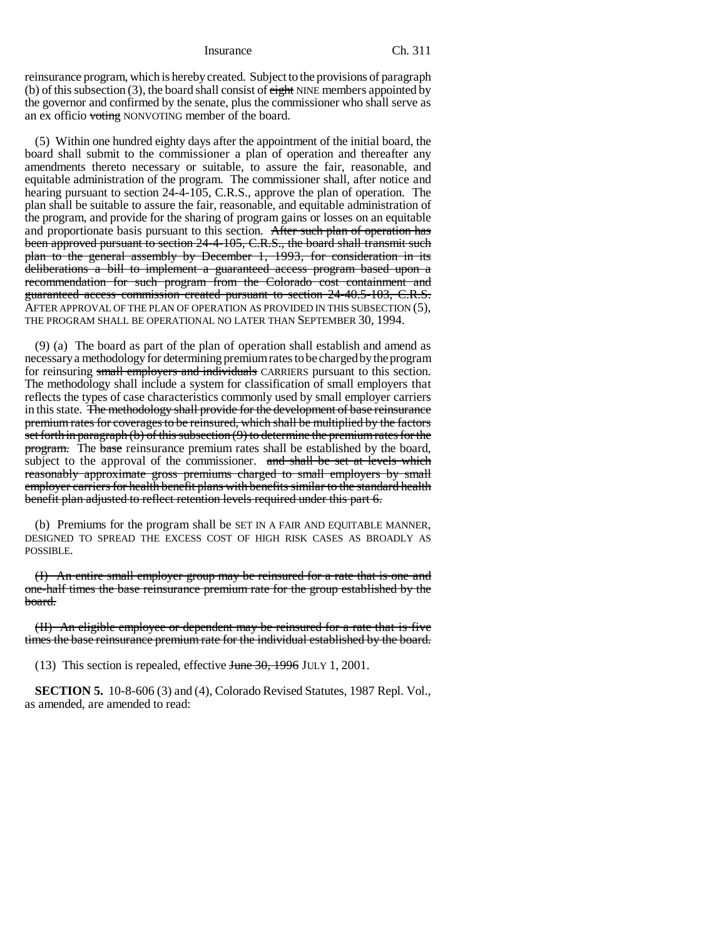reinsurance program, which is hereby created. Subject to the provisions of paragraph (b) of this subsection (3), the board shall consist of  $\frac{e^{i} + e^{i}}{i}$  NINE members appointed by the governor and confirmed by the senate, plus the commissioner who shall serve as an ex officio voting NONVOTING member of the board.

(5) Within one hundred eighty days after the appointment of the initial board, the board shall submit to the commissioner a plan of operation and thereafter any amendments thereto necessary or suitable, to assure the fair, reasonable, and equitable administration of the program. The commissioner shall, after notice and hearing pursuant to section 24-4-105, C.R.S., approve the plan of operation. The plan shall be suitable to assure the fair, reasonable, and equitable administration of the program, and provide for the sharing of program gains or losses on an equitable and proportionate basis pursuant to this section. After such plan of operation has been approved pursuant to section 24-4-105, C.R.S., the board shall transmit such plan to the general assembly by December 1, 1993, for consideration in its deliberations a bill to implement a guaranteed access program based upon a recommendation for such program from the Colorado cost containment and guaranteed access commission created pursuant to section 24-40.5-103, C.R.S. AFTER APPROVAL OF THE PLAN OF OPERATION AS PROVIDED IN THIS SUBSECTION (5), THE PROGRAM SHALL BE OPERATIONAL NO LATER THAN SEPTEMBER 30, 1994.

(9) (a) The board as part of the plan of operation shall establish and amend as necessary a methodology for determining premium rates to be charged by the program for reinsuring small employers and individuals CARRIERS pursuant to this section. The methodology shall include a system for classification of small employers that reflects the types of case characteristics commonly used by small employer carriers in this state. The methodology shall provide for the development of base reinsurance premium rates for coverages to be reinsured, which shall be multiplied by the factors set forth in paragraph  $(b)$  of this subsection  $(9)$  to determine the premium rates for the program. The base reinsurance premium rates shall be established by the board, subject to the approval of the commissioner. and shall be set at levels which reasonably approximate gross premiums charged to small employers by small employer carriers for health benefit plans with benefits similar to the standard health benefit plan adjusted to reflect retention levels required under this part 6.

(b) Premiums for the program shall be SET IN A FAIR AND EQUITABLE MANNER, DESIGNED TO SPREAD THE EXCESS COST OF HIGH RISK CASES AS BROADLY AS POSSIBLE.

(I) An entire small employer group may be reinsured for a rate that is one and one-half times the base reinsurance premium rate for the group established by the board.

(II) An eligible employee or dependent may be reinsured for a rate that is five times the base reinsurance premium rate for the individual established by the board.

(13) This section is repealed, effective June 30, 1996 JULY 1, 2001.

**SECTION 5.** 10-8-606 (3) and (4), Colorado Revised Statutes, 1987 Repl. Vol., as amended, are amended to read: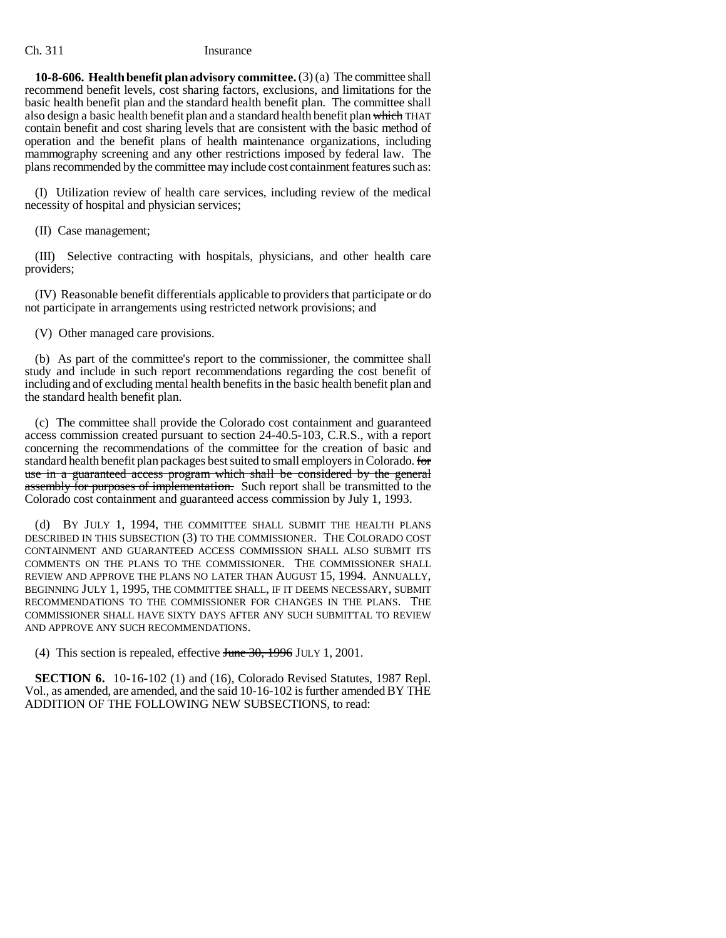**10-8-606. Health benefit plan advisory committee.** (3) (a) The committee shall recommend benefit levels, cost sharing factors, exclusions, and limitations for the basic health benefit plan and the standard health benefit plan. The committee shall also design a basic health benefit plan and a standard health benefit plan which THAT contain benefit and cost sharing levels that are consistent with the basic method of operation and the benefit plans of health maintenance organizations, including mammography screening and any other restrictions imposed by federal law. The plans recommended by the committee may include cost containment features such as:

(I) Utilization review of health care services, including review of the medical necessity of hospital and physician services;

(II) Case management;

(III) Selective contracting with hospitals, physicians, and other health care providers;

(IV) Reasonable benefit differentials applicable to providers that participate or do not participate in arrangements using restricted network provisions; and

(V) Other managed care provisions.

(b) As part of the committee's report to the commissioner, the committee shall study and include in such report recommendations regarding the cost benefit of including and of excluding mental health benefits in the basic health benefit plan and the standard health benefit plan.

(c) The committee shall provide the Colorado cost containment and guaranteed access commission created pursuant to section 24-40.5-103, C.R.S., with a report concerning the recommendations of the committee for the creation of basic and standard health benefit plan packages best suited to small employers in Colorado. for use in a guaranteed access program which shall be considered by the general assembly for purposes of implementation. Such report shall be transmitted to the Colorado cost containment and guaranteed access commission by July 1, 1993.

(d) BY JULY 1, 1994, THE COMMITTEE SHALL SUBMIT THE HEALTH PLANS DESCRIBED IN THIS SUBSECTION (3) TO THE COMMISSIONER. THE COLORADO COST CONTAINMENT AND GUARANTEED ACCESS COMMISSION SHALL ALSO SUBMIT ITS COMMENTS ON THE PLANS TO THE COMMISSIONER. THE COMMISSIONER SHALL REVIEW AND APPROVE THE PLANS NO LATER THAN AUGUST 15, 1994. ANNUALLY, BEGINNING JULY 1, 1995, THE COMMITTEE SHALL, IF IT DEEMS NECESSARY, SUBMIT RECOMMENDATIONS TO THE COMMISSIONER FOR CHANGES IN THE PLANS. THE COMMISSIONER SHALL HAVE SIXTY DAYS AFTER ANY SUCH SUBMITTAL TO REVIEW AND APPROVE ANY SUCH RECOMMENDATIONS.

(4) This section is repealed, effective  $\frac{\text{Hence}}{30, 1996}$  JULY 1, 2001.

**SECTION 6.** 10-16-102 (1) and (16), Colorado Revised Statutes, 1987 Repl. Vol., as amended, are amended, and the said 10-16-102 is further amended BY THE ADDITION OF THE FOLLOWING NEW SUBSECTIONS, to read: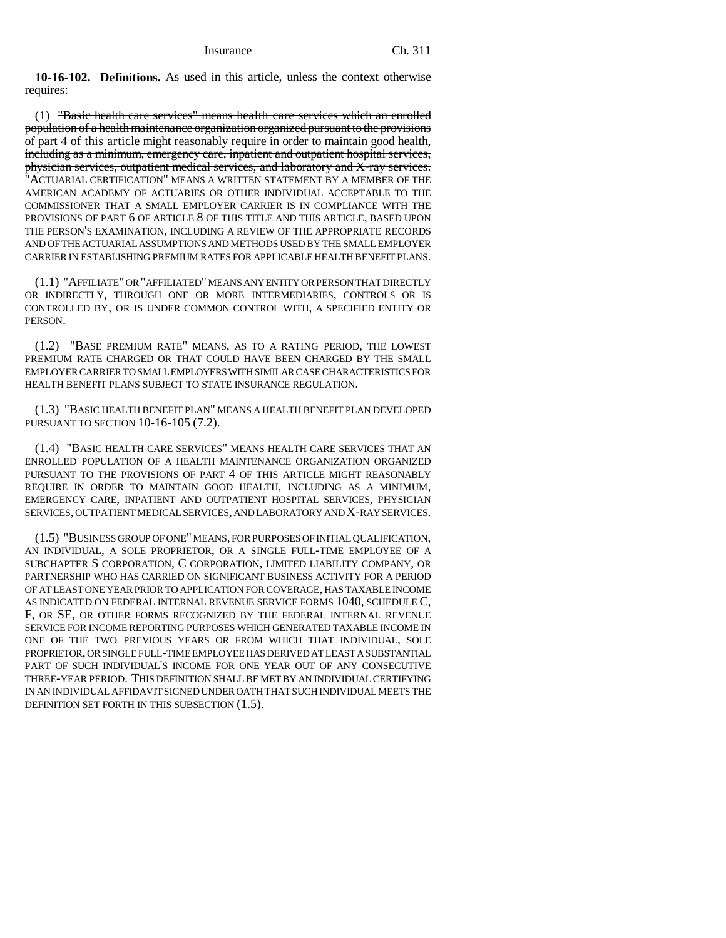**10-16-102. Definitions.** As used in this article, unless the context otherwise requires:

(1) "Basic health care services" means health care services which an enrolled population of a health maintenance organization organized pursuant to the provisions of part 4 of this article might reasonably require in order to maintain good health, including as a minimum, emergency care, inpatient and outpatient hospital services, physician services, outpatient medical services, and laboratory and X-ray services. "ACTUARIAL CERTIFICATION" MEANS A WRITTEN STATEMENT BY A MEMBER OF THE AMERICAN ACADEMY OF ACTUARIES OR OTHER INDIVIDUAL ACCEPTABLE TO THE COMMISSIONER THAT A SMALL EMPLOYER CARRIER IS IN COMPLIANCE WITH THE PROVISIONS OF PART 6 OF ARTICLE 8 OF THIS TITLE AND THIS ARTICLE, BASED UPON THE PERSON'S EXAMINATION, INCLUDING A REVIEW OF THE APPROPRIATE RECORDS AND OF THE ACTUARIAL ASSUMPTIONS AND METHODS USED BY THE SMALL EMPLOYER CARRIER IN ESTABLISHING PREMIUM RATES FOR APPLICABLE HEALTH BENEFIT PLANS.

(1.1) "AFFILIATE" OR "AFFILIATED" MEANS ANY ENTITY OR PERSON THAT DIRECTLY OR INDIRECTLY, THROUGH ONE OR MORE INTERMEDIARIES, CONTROLS OR IS CONTROLLED BY, OR IS UNDER COMMON CONTROL WITH, A SPECIFIED ENTITY OR PERSON.

(1.2) "BASE PREMIUM RATE" MEANS, AS TO A RATING PERIOD, THE LOWEST PREMIUM RATE CHARGED OR THAT COULD HAVE BEEN CHARGED BY THE SMALL EMPLOYER CARRIER TO SMALL EMPLOYERS WITH SIMILAR CASE CHARACTERISTICS FOR HEALTH BENEFIT PLANS SUBJECT TO STATE INSURANCE REGULATION.

(1.3) "BASIC HEALTH BENEFIT PLAN" MEANS A HEALTH BENEFIT PLAN DEVELOPED PURSUANT TO SECTION 10-16-105 (7.2).

(1.4) "BASIC HEALTH CARE SERVICES" MEANS HEALTH CARE SERVICES THAT AN ENROLLED POPULATION OF A HEALTH MAINTENANCE ORGANIZATION ORGANIZED PURSUANT TO THE PROVISIONS OF PART 4 OF THIS ARTICLE MIGHT REASONABLY REQUIRE IN ORDER TO MAINTAIN GOOD HEALTH, INCLUDING AS A MINIMUM, EMERGENCY CARE, INPATIENT AND OUTPATIENT HOSPITAL SERVICES, PHYSICIAN SERVICES, OUTPATIENT MEDICAL SERVICES, AND LABORATORY AND X-RAY SERVICES.

(1.5) "BUSINESS GROUP OF ONE" MEANS, FOR PURPOSES OF INITIAL QUALIFICATION, AN INDIVIDUAL, A SOLE PROPRIETOR, OR A SINGLE FULL-TIME EMPLOYEE OF A SUBCHAPTER S CORPORATION, C CORPORATION, LIMITED LIABILITY COMPANY, OR PARTNERSHIP WHO HAS CARRIED ON SIGNIFICANT BUSINESS ACTIVITY FOR A PERIOD OF AT LEAST ONE YEAR PRIOR TO APPLICATION FOR COVERAGE, HAS TAXABLE INCOME AS INDICATED ON FEDERAL INTERNAL REVENUE SERVICE FORMS 1040, SCHEDULE C, F, OR SE, OR OTHER FORMS RECOGNIZED BY THE FEDERAL INTERNAL REVENUE SERVICE FOR INCOME REPORTING PURPOSES WHICH GENERATED TAXABLE INCOME IN ONE OF THE TWO PREVIOUS YEARS OR FROM WHICH THAT INDIVIDUAL, SOLE PROPRIETOR, OR SINGLE FULL-TIME EMPLOYEE HAS DERIVED AT LEAST A SUBSTANTIAL PART OF SUCH INDIVIDUAL'S INCOME FOR ONE YEAR OUT OF ANY CONSECUTIVE THREE-YEAR PERIOD. THIS DEFINITION SHALL BE MET BY AN INDIVIDUAL CERTIFYING IN AN INDIVIDUAL AFFIDAVIT SIGNED UNDER OATH THAT SUCH INDIVIDUAL MEETS THE DEFINITION SET FORTH IN THIS SUBSECTION (1.5).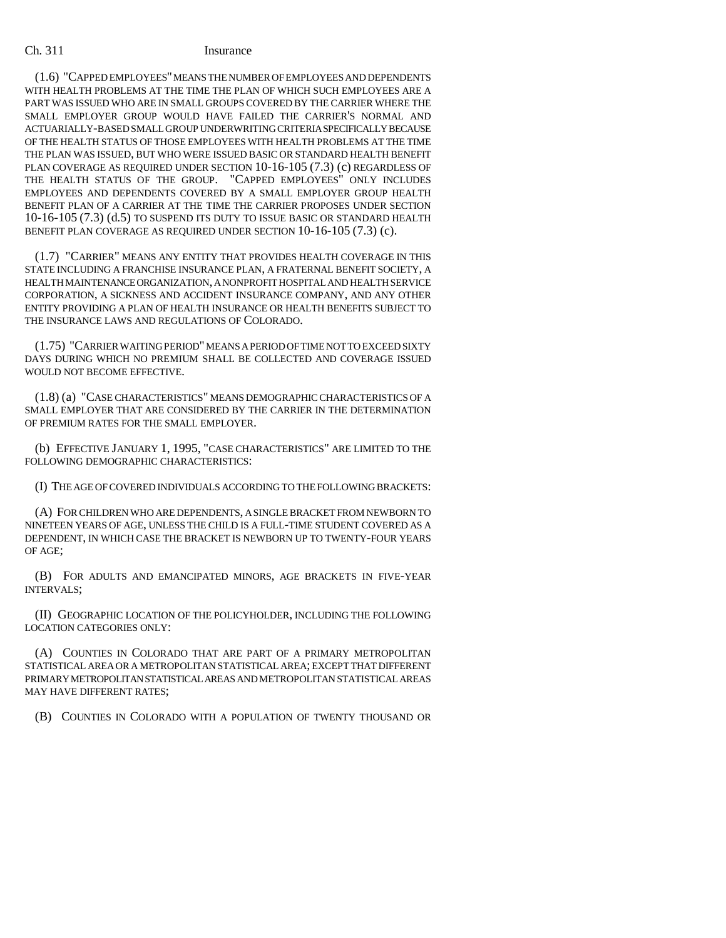(1.6) "CAPPED EMPLOYEES" MEANS THE NUMBER OF EMPLOYEES AND DEPENDENTS WITH HEALTH PROBLEMS AT THE TIME THE PLAN OF WHICH SUCH EMPLOYEES ARE A PART WAS ISSUED WHO ARE IN SMALL GROUPS COVERED BY THE CARRIER WHERE THE SMALL EMPLOYER GROUP WOULD HAVE FAILED THE CARRIER'S NORMAL AND ACTUARIALLY-BASED SMALL GROUP UNDERWRITING CRITERIA SPECIFICALLY BECAUSE OF THE HEALTH STATUS OF THOSE EMPLOYEES WITH HEALTH PROBLEMS AT THE TIME THE PLAN WAS ISSUED, BUT WHO WERE ISSUED BASIC OR STANDARD HEALTH BENEFIT PLAN COVERAGE AS REQUIRED UNDER SECTION 10-16-105 (7.3) (c) REGARDLESS OF THE HEALTH STATUS OF THE GROUP. "CAPPED EMPLOYEES" ONLY INCLUDES EMPLOYEES AND DEPENDENTS COVERED BY A SMALL EMPLOYER GROUP HEALTH BENEFIT PLAN OF A CARRIER AT THE TIME THE CARRIER PROPOSES UNDER SECTION 10-16-105 (7.3) (d.5) TO SUSPEND ITS DUTY TO ISSUE BASIC OR STANDARD HEALTH BENEFIT PLAN COVERAGE AS REQUIRED UNDER SECTION 10-16-105 (7.3) (c).

(1.7) "CARRIER" MEANS ANY ENTITY THAT PROVIDES HEALTH COVERAGE IN THIS STATE INCLUDING A FRANCHISE INSURANCE PLAN, A FRATERNAL BENEFIT SOCIETY, A HEALTH MAINTENANCE ORGANIZATION, A NONPROFIT HOSPITAL AND HEALTH SERVICE CORPORATION, A SICKNESS AND ACCIDENT INSURANCE COMPANY, AND ANY OTHER ENTITY PROVIDING A PLAN OF HEALTH INSURANCE OR HEALTH BENEFITS SUBJECT TO THE INSURANCE LAWS AND REGULATIONS OF COLORADO.

(1.75) "CARRIER WAITING PERIOD" MEANS A PERIOD OF TIME NOT TO EXCEED SIXTY DAYS DURING WHICH NO PREMIUM SHALL BE COLLECTED AND COVERAGE ISSUED WOULD NOT BECOME EFFECTIVE.

(1.8) (a) "CASE CHARACTERISTICS" MEANS DEMOGRAPHIC CHARACTERISTICS OF A SMALL EMPLOYER THAT ARE CONSIDERED BY THE CARRIER IN THE DETERMINATION OF PREMIUM RATES FOR THE SMALL EMPLOYER.

(b) EFFECTIVE JANUARY 1, 1995, "CASE CHARACTERISTICS" ARE LIMITED TO THE FOLLOWING DEMOGRAPHIC CHARACTERISTICS:

(I) THE AGE OF COVERED INDIVIDUALS ACCORDING TO THE FOLLOWING BRACKETS:

(A) FOR CHILDREN WHO ARE DEPENDENTS, A SINGLE BRACKET FROM NEWBORN TO NINETEEN YEARS OF AGE, UNLESS THE CHILD IS A FULL-TIME STUDENT COVERED AS A DEPENDENT, IN WHICH CASE THE BRACKET IS NEWBORN UP TO TWENTY-FOUR YEARS OF AGE;

(B) FOR ADULTS AND EMANCIPATED MINORS, AGE BRACKETS IN FIVE-YEAR INTERVALS;

(II) GEOGRAPHIC LOCATION OF THE POLICYHOLDER, INCLUDING THE FOLLOWING LOCATION CATEGORIES ONLY:

(A) COUNTIES IN COLORADO THAT ARE PART OF A PRIMARY METROPOLITAN STATISTICAL AREA OR A METROPOLITAN STATISTICAL AREA; EXCEPT THAT DIFFERENT PRIMARY METROPOLITAN STATISTICAL AREAS AND METROPOLITAN STATISTICAL AREAS MAY HAVE DIFFERENT RATES;

(B) COUNTIES IN COLORADO WITH A POPULATION OF TWENTY THOUSAND OR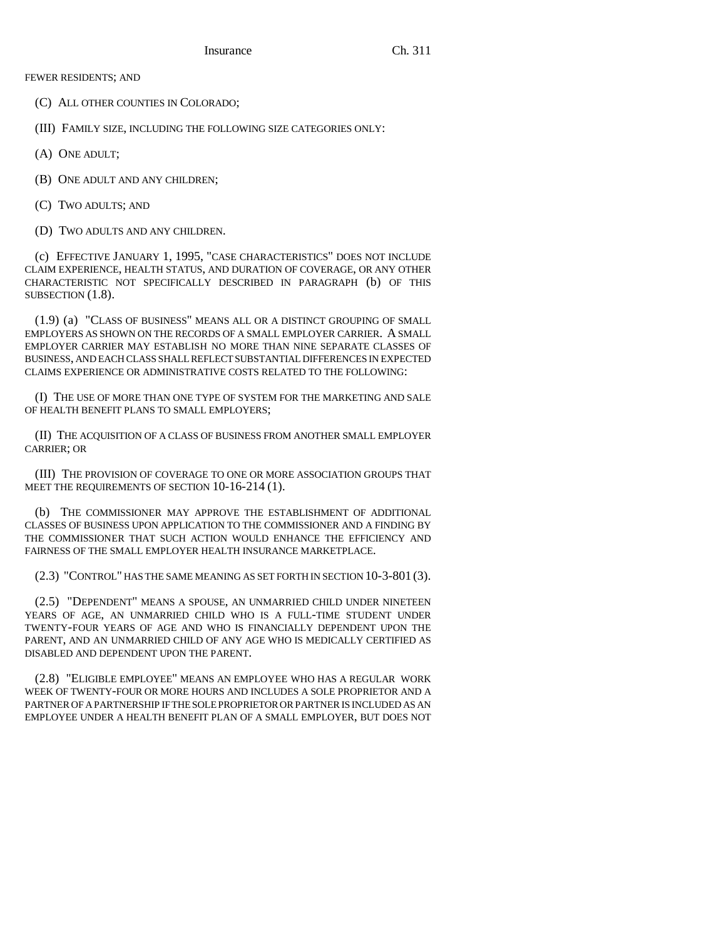(C) ALL OTHER COUNTIES IN COLORADO;

(III) FAMILY SIZE, INCLUDING THE FOLLOWING SIZE CATEGORIES ONLY:

- (A) ONE ADULT;
- (B) ONE ADULT AND ANY CHILDREN;
- (C) TWO ADULTS; AND
- (D) TWO ADULTS AND ANY CHILDREN.

(c) EFFECTIVE JANUARY 1, 1995, "CASE CHARACTERISTICS" DOES NOT INCLUDE CLAIM EXPERIENCE, HEALTH STATUS, AND DURATION OF COVERAGE, OR ANY OTHER CHARACTERISTIC NOT SPECIFICALLY DESCRIBED IN PARAGRAPH (b) OF THIS SUBSECTION  $(1.8)$ .

(1.9) (a) "CLASS OF BUSINESS" MEANS ALL OR A DISTINCT GROUPING OF SMALL EMPLOYERS AS SHOWN ON THE RECORDS OF A SMALL EMPLOYER CARRIER. A SMALL EMPLOYER CARRIER MAY ESTABLISH NO MORE THAN NINE SEPARATE CLASSES OF BUSINESS, AND EACH CLASS SHALL REFLECT SUBSTANTIAL DIFFERENCES IN EXPECTED CLAIMS EXPERIENCE OR ADMINISTRATIVE COSTS RELATED TO THE FOLLOWING:

(I) THE USE OF MORE THAN ONE TYPE OF SYSTEM FOR THE MARKETING AND SALE OF HEALTH BENEFIT PLANS TO SMALL EMPLOYERS;

(II) THE ACQUISITION OF A CLASS OF BUSINESS FROM ANOTHER SMALL EMPLOYER CARRIER; OR

(III) THE PROVISION OF COVERAGE TO ONE OR MORE ASSOCIATION GROUPS THAT MEET THE REQUIREMENTS OF SECTION 10-16-214 (1).

(b) THE COMMISSIONER MAY APPROVE THE ESTABLISHMENT OF ADDITIONAL CLASSES OF BUSINESS UPON APPLICATION TO THE COMMISSIONER AND A FINDING BY THE COMMISSIONER THAT SUCH ACTION WOULD ENHANCE THE EFFICIENCY AND FAIRNESS OF THE SMALL EMPLOYER HEALTH INSURANCE MARKETPLACE.

(2.3) "CONTROL" HAS THE SAME MEANING AS SET FORTH IN SECTION 10-3-801 (3).

(2.5) "DEPENDENT" MEANS A SPOUSE, AN UNMARRIED CHILD UNDER NINETEEN YEARS OF AGE, AN UNMARRIED CHILD WHO IS A FULL-TIME STUDENT UNDER TWENTY-FOUR YEARS OF AGE AND WHO IS FINANCIALLY DEPENDENT UPON THE PARENT, AND AN UNMARRIED CHILD OF ANY AGE WHO IS MEDICALLY CERTIFIED AS DISABLED AND DEPENDENT UPON THE PARENT.

(2.8) "ELIGIBLE EMPLOYEE" MEANS AN EMPLOYEE WHO HAS A REGULAR WORK WEEK OF TWENTY-FOUR OR MORE HOURS AND INCLUDES A SOLE PROPRIETOR AND A PARTNER OF A PARTNERSHIP IF THE SOLE PROPRIETOR OR PARTNER IS INCLUDED AS AN EMPLOYEE UNDER A HEALTH BENEFIT PLAN OF A SMALL EMPLOYER, BUT DOES NOT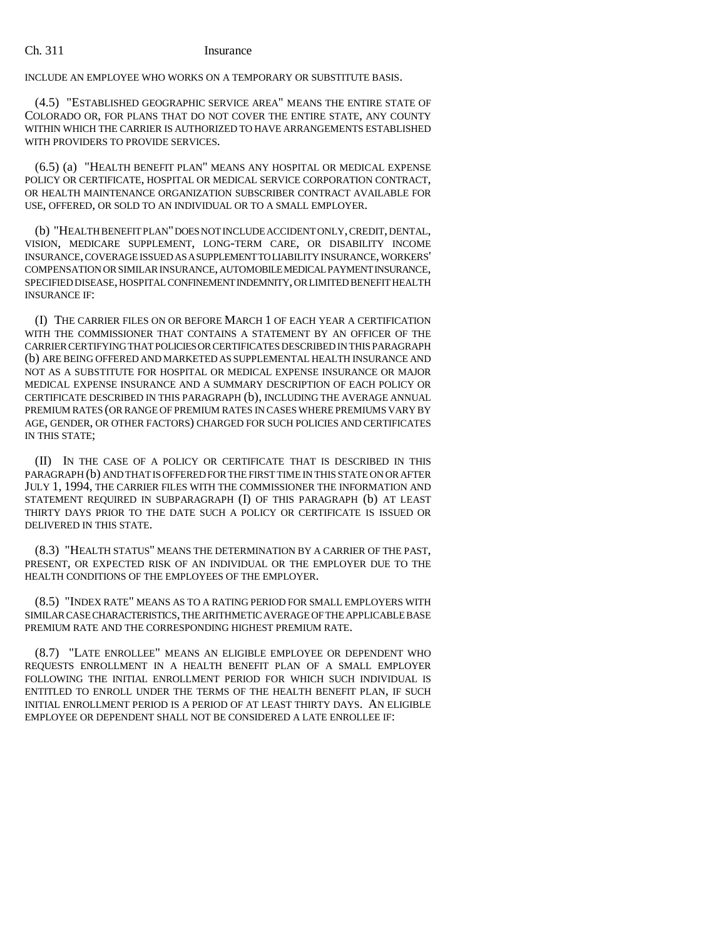INCLUDE AN EMPLOYEE WHO WORKS ON A TEMPORARY OR SUBSTITUTE BASIS.

(4.5) "ESTABLISHED GEOGRAPHIC SERVICE AREA" MEANS THE ENTIRE STATE OF COLORADO OR, FOR PLANS THAT DO NOT COVER THE ENTIRE STATE, ANY COUNTY WITHIN WHICH THE CARRIER IS AUTHORIZED TO HAVE ARRANGEMENTS ESTABLISHED WITH PROVIDERS TO PROVIDE SERVICES.

(6.5) (a) "HEALTH BENEFIT PLAN" MEANS ANY HOSPITAL OR MEDICAL EXPENSE POLICY OR CERTIFICATE, HOSPITAL OR MEDICAL SERVICE CORPORATION CONTRACT, OR HEALTH MAINTENANCE ORGANIZATION SUBSCRIBER CONTRACT AVAILABLE FOR USE, OFFERED, OR SOLD TO AN INDIVIDUAL OR TO A SMALL EMPLOYER.

(b) "HEALTH BENEFIT PLAN" DOES NOT INCLUDE ACCIDENT ONLY, CREDIT, DENTAL, VISION, MEDICARE SUPPLEMENT, LONG-TERM CARE, OR DISABILITY INCOME INSURANCE, COVERAGE ISSUED AS A SUPPLEMENT TO LIABILITY INSURANCE, WORKERS' COMPENSATION OR SIMILAR INSURANCE, AUTOMOBILE MEDICAL PAYMENT INSURANCE, SPECIFIED DISEASE, HOSPITAL CONFINEMENT INDEMNITY, OR LIMITED BENEFIT HEALTH INSURANCE IF:

(I) THE CARRIER FILES ON OR BEFORE MARCH 1 OF EACH YEAR A CERTIFICATION WITH THE COMMISSIONER THAT CONTAINS A STATEMENT BY AN OFFICER OF THE CARRIER CERTIFYING THAT POLICIES OR CERTIFICATES DESCRIBED IN THIS PARAGRAPH (b) ARE BEING OFFERED AND MARKETED AS SUPPLEMENTAL HEALTH INSURANCE AND NOT AS A SUBSTITUTE FOR HOSPITAL OR MEDICAL EXPENSE INSURANCE OR MAJOR MEDICAL EXPENSE INSURANCE AND A SUMMARY DESCRIPTION OF EACH POLICY OR CERTIFICATE DESCRIBED IN THIS PARAGRAPH (b), INCLUDING THE AVERAGE ANNUAL PREMIUM RATES (OR RANGE OF PREMIUM RATES IN CASES WHERE PREMIUMS VARY BY AGE, GENDER, OR OTHER FACTORS) CHARGED FOR SUCH POLICIES AND CERTIFICATES IN THIS STATE;

(II) IN THE CASE OF A POLICY OR CERTIFICATE THAT IS DESCRIBED IN THIS PARAGRAPH (b) AND THAT IS OFFERED FOR THE FIRST TIME IN THIS STATE ON OR AFTER JULY 1, 1994, THE CARRIER FILES WITH THE COMMISSIONER THE INFORMATION AND STATEMENT REQUIRED IN SUBPARAGRAPH (I) OF THIS PARAGRAPH (b) AT LEAST THIRTY DAYS PRIOR TO THE DATE SUCH A POLICY OR CERTIFICATE IS ISSUED OR DELIVERED IN THIS STATE.

(8.3) "HEALTH STATUS" MEANS THE DETERMINATION BY A CARRIER OF THE PAST, PRESENT, OR EXPECTED RISK OF AN INDIVIDUAL OR THE EMPLOYER DUE TO THE HEALTH CONDITIONS OF THE EMPLOYEES OF THE EMPLOYER.

(8.5) "INDEX RATE" MEANS AS TO A RATING PERIOD FOR SMALL EMPLOYERS WITH SIMILAR CASE CHARACTERISTICS, THE ARITHMETIC AVERAGE OF THE APPLICABLE BASE PREMIUM RATE AND THE CORRESPONDING HIGHEST PREMIUM RATE.

(8.7) "LATE ENROLLEE" MEANS AN ELIGIBLE EMPLOYEE OR DEPENDENT WHO REQUESTS ENROLLMENT IN A HEALTH BENEFIT PLAN OF A SMALL EMPLOYER FOLLOWING THE INITIAL ENROLLMENT PERIOD FOR WHICH SUCH INDIVIDUAL IS ENTITLED TO ENROLL UNDER THE TERMS OF THE HEALTH BENEFIT PLAN, IF SUCH INITIAL ENROLLMENT PERIOD IS A PERIOD OF AT LEAST THIRTY DAYS. AN ELIGIBLE EMPLOYEE OR DEPENDENT SHALL NOT BE CONSIDERED A LATE ENROLLEE IF: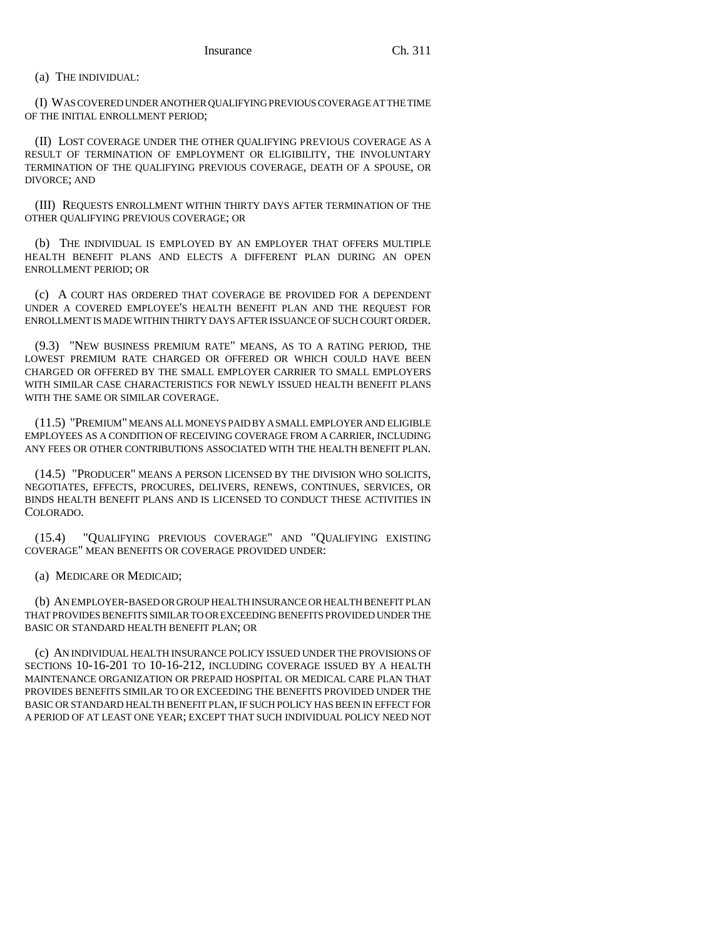## (a) THE INDIVIDUAL:

(I) WAS COVERED UNDER ANOTHER QUALIFYING PREVIOUS COVERAGE AT THE TIME OF THE INITIAL ENROLLMENT PERIOD;

(II) LOST COVERAGE UNDER THE OTHER QUALIFYING PREVIOUS COVERAGE AS A RESULT OF TERMINATION OF EMPLOYMENT OR ELIGIBILITY, THE INVOLUNTARY TERMINATION OF THE QUALIFYING PREVIOUS COVERAGE, DEATH OF A SPOUSE, OR DIVORCE; AND

(III) REQUESTS ENROLLMENT WITHIN THIRTY DAYS AFTER TERMINATION OF THE OTHER QUALIFYING PREVIOUS COVERAGE; OR

(b) THE INDIVIDUAL IS EMPLOYED BY AN EMPLOYER THAT OFFERS MULTIPLE HEALTH BENEFIT PLANS AND ELECTS A DIFFERENT PLAN DURING AN OPEN ENROLLMENT PERIOD; OR

(c) A COURT HAS ORDERED THAT COVERAGE BE PROVIDED FOR A DEPENDENT UNDER A COVERED EMPLOYEE'S HEALTH BENEFIT PLAN AND THE REQUEST FOR ENROLLMENT IS MADE WITHIN THIRTY DAYS AFTER ISSUANCE OF SUCH COURT ORDER.

(9.3) "NEW BUSINESS PREMIUM RATE" MEANS, AS TO A RATING PERIOD, THE LOWEST PREMIUM RATE CHARGED OR OFFERED OR WHICH COULD HAVE BEEN CHARGED OR OFFERED BY THE SMALL EMPLOYER CARRIER TO SMALL EMPLOYERS WITH SIMILAR CASE CHARACTERISTICS FOR NEWLY ISSUED HEALTH BENEFIT PLANS WITH THE SAME OR SIMILAR COVERAGE.

(11.5) "PREMIUM" MEANS ALL MONEYS PAID BY A SMALL EMPLOYER AND ELIGIBLE EMPLOYEES AS A CONDITION OF RECEIVING COVERAGE FROM A CARRIER, INCLUDING ANY FEES OR OTHER CONTRIBUTIONS ASSOCIATED WITH THE HEALTH BENEFIT PLAN.

(14.5) "PRODUCER" MEANS A PERSON LICENSED BY THE DIVISION WHO SOLICITS, NEGOTIATES, EFFECTS, PROCURES, DELIVERS, RENEWS, CONTINUES, SERVICES, OR BINDS HEALTH BENEFIT PLANS AND IS LICENSED TO CONDUCT THESE ACTIVITIES IN COLORADO.

(15.4) "QUALIFYING PREVIOUS COVERAGE" AND "QUALIFYING EXISTING COVERAGE" MEAN BENEFITS OR COVERAGE PROVIDED UNDER:

(a) MEDICARE OR MEDICAID;

(b) AN EMPLOYER-BASED OR GROUP HEALTH INSURANCE OR HEALTH BENEFIT PLAN THAT PROVIDES BENEFITS SIMILAR TO OR EXCEEDING BENEFITS PROVIDED UNDER THE BASIC OR STANDARD HEALTH BENEFIT PLAN; OR

(c) AN INDIVIDUAL HEALTH INSURANCE POLICY ISSUED UNDER THE PROVISIONS OF SECTIONS 10-16-201 TO 10-16-212, INCLUDING COVERAGE ISSUED BY A HEALTH MAINTENANCE ORGANIZATION OR PREPAID HOSPITAL OR MEDICAL CARE PLAN THAT PROVIDES BENEFITS SIMILAR TO OR EXCEEDING THE BENEFITS PROVIDED UNDER THE BASIC OR STANDARD HEALTH BENEFIT PLAN, IF SUCH POLICY HAS BEEN IN EFFECT FOR A PERIOD OF AT LEAST ONE YEAR; EXCEPT THAT SUCH INDIVIDUAL POLICY NEED NOT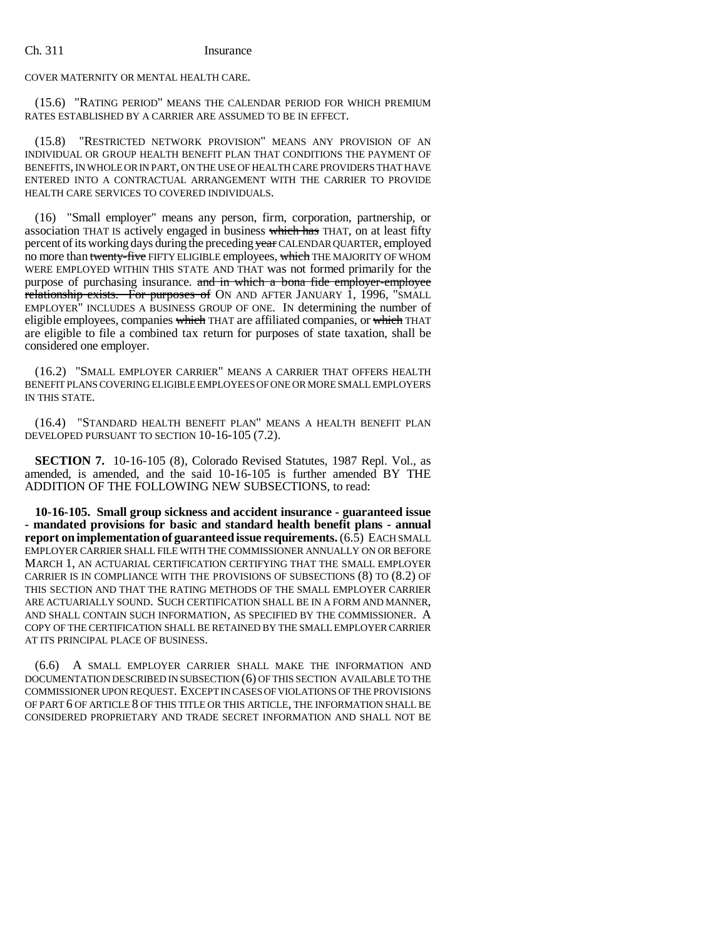COVER MATERNITY OR MENTAL HEALTH CARE.

(15.6) "RATING PERIOD" MEANS THE CALENDAR PERIOD FOR WHICH PREMIUM RATES ESTABLISHED BY A CARRIER ARE ASSUMED TO BE IN EFFECT.

(15.8) "RESTRICTED NETWORK PROVISION" MEANS ANY PROVISION OF AN INDIVIDUAL OR GROUP HEALTH BENEFIT PLAN THAT CONDITIONS THE PAYMENT OF BENEFITS, IN WHOLE OR IN PART, ON THE USE OF HEALTH CARE PROVIDERS THAT HAVE ENTERED INTO A CONTRACTUAL ARRANGEMENT WITH THE CARRIER TO PROVIDE HEALTH CARE SERVICES TO COVERED INDIVIDUALS.

(16) "Small employer" means any person, firm, corporation, partnership, or association THAT IS actively engaged in business which has THAT, on at least fifty percent of its working days during the preceding year CALENDAR QUARTER, employed no more than twenty-five FIFTY ELIGIBLE employees, which THE MAJORITY OF WHOM WERE EMPLOYED WITHIN THIS STATE AND THAT was not formed primarily for the purpose of purchasing insurance. and in which a bona fide employer-employee relationship exists. For purposes of ON AND AFTER JANUARY 1, 1996, "SMALL EMPLOYER" INCLUDES A BUSINESS GROUP OF ONE. IN determining the number of eligible employees, companies which THAT are affiliated companies, or which THAT are eligible to file a combined tax return for purposes of state taxation, shall be considered one employer.

(16.2) "SMALL EMPLOYER CARRIER" MEANS A CARRIER THAT OFFERS HEALTH BENEFIT PLANS COVERING ELIGIBLE EMPLOYEES OF ONE OR MORE SMALL EMPLOYERS IN THIS STATE.

(16.4) "STANDARD HEALTH BENEFIT PLAN" MEANS A HEALTH BENEFIT PLAN DEVELOPED PURSUANT TO SECTION 10-16-105 (7.2).

**SECTION 7.** 10-16-105 (8), Colorado Revised Statutes, 1987 Repl. Vol., as amended, is amended, and the said 10-16-105 is further amended BY THE ADDITION OF THE FOLLOWING NEW SUBSECTIONS, to read:

**10-16-105. Small group sickness and accident insurance - guaranteed issue - mandated provisions for basic and standard health benefit plans - annual report on implementation of guaranteed issue requirements.** (6.5) EACH SMALL EMPLOYER CARRIER SHALL FILE WITH THE COMMISSIONER ANNUALLY ON OR BEFORE MARCH 1, AN ACTUARIAL CERTIFICATION CERTIFYING THAT THE SMALL EMPLOYER CARRIER IS IN COMPLIANCE WITH THE PROVISIONS OF SUBSECTIONS (8) TO (8.2) OF THIS SECTION AND THAT THE RATING METHODS OF THE SMALL EMPLOYER CARRIER ARE ACTUARIALLY SOUND. SUCH CERTIFICATION SHALL BE IN A FORM AND MANNER, AND SHALL CONTAIN SUCH INFORMATION, AS SPECIFIED BY THE COMMISSIONER. A COPY OF THE CERTIFICATION SHALL BE RETAINED BY THE SMALL EMPLOYER CARRIER AT ITS PRINCIPAL PLACE OF BUSINESS.

(6.6) A SMALL EMPLOYER CARRIER SHALL MAKE THE INFORMATION AND DOCUMENTATION DESCRIBED IN SUBSECTION (6) OF THIS SECTION AVAILABLE TO THE COMMISSIONER UPON REQUEST. EXCEPT IN CASES OF VIOLATIONS OF THE PROVISIONS OF PART 6 OF ARTICLE 8 OF THIS TITLE OR THIS ARTICLE, THE INFORMATION SHALL BE CONSIDERED PROPRIETARY AND TRADE SECRET INFORMATION AND SHALL NOT BE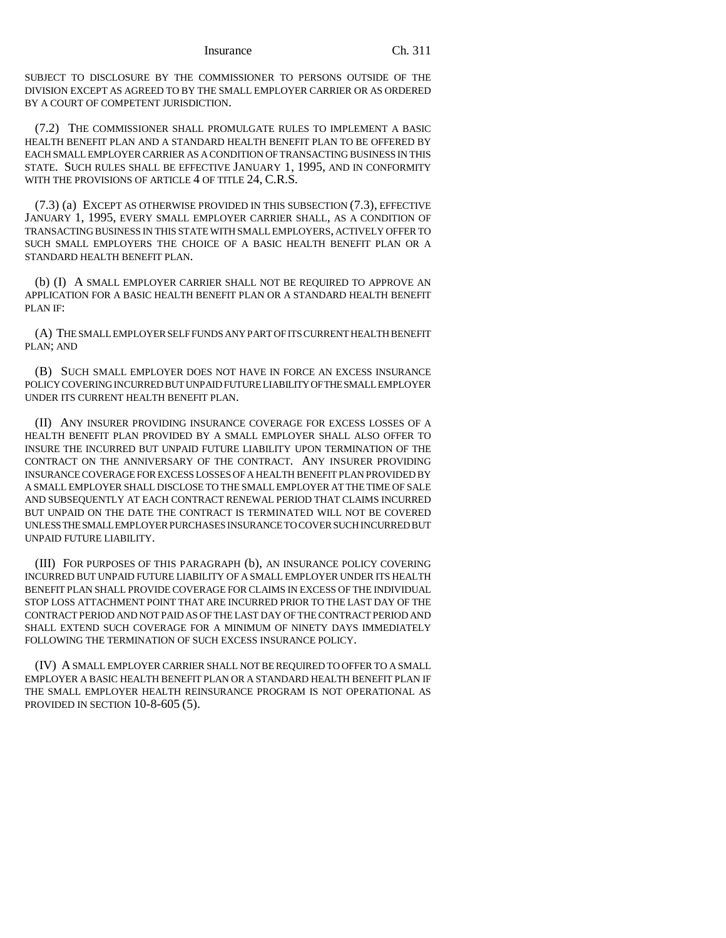SUBJECT TO DISCLOSURE BY THE COMMISSIONER TO PERSONS OUTSIDE OF THE DIVISION EXCEPT AS AGREED TO BY THE SMALL EMPLOYER CARRIER OR AS ORDERED BY A COURT OF COMPETENT JURISDICTION.

(7.2) THE COMMISSIONER SHALL PROMULGATE RULES TO IMPLEMENT A BASIC HEALTH BENEFIT PLAN AND A STANDARD HEALTH BENEFIT PLAN TO BE OFFERED BY EACH SMALL EMPLOYER CARRIER AS A CONDITION OF TRANSACTING BUSINESS IN THIS STATE. SUCH RULES SHALL BE EFFECTIVE JANUARY 1, 1995, AND IN CONFORMITY WITH THE PROVISIONS OF ARTICLE 4 OF TITLE 24, C.R.S.

(7.3) (a) EXCEPT AS OTHERWISE PROVIDED IN THIS SUBSECTION (7.3), EFFECTIVE JANUARY 1, 1995, EVERY SMALL EMPLOYER CARRIER SHALL, AS A CONDITION OF TRANSACTING BUSINESS IN THIS STATE WITH SMALL EMPLOYERS, ACTIVELY OFFER TO SUCH SMALL EMPLOYERS THE CHOICE OF A BASIC HEALTH BENEFIT PLAN OR A STANDARD HEALTH BENEFIT PLAN.

(b) (I) A SMALL EMPLOYER CARRIER SHALL NOT BE REQUIRED TO APPROVE AN APPLICATION FOR A BASIC HEALTH BENEFIT PLAN OR A STANDARD HEALTH BENEFIT PLAN IF:

(A) THE SMALL EMPLOYER SELF FUNDS ANY PART OF ITS CURRENT HEALTH BENEFIT PLAN; AND

(B) SUCH SMALL EMPLOYER DOES NOT HAVE IN FORCE AN EXCESS INSURANCE POLICY COVERING INCURRED BUT UNPAID FUTURE LIABILITY OF THE SMALL EMPLOYER UNDER ITS CURRENT HEALTH BENEFIT PLAN.

(II) ANY INSURER PROVIDING INSURANCE COVERAGE FOR EXCESS LOSSES OF A HEALTH BENEFIT PLAN PROVIDED BY A SMALL EMPLOYER SHALL ALSO OFFER TO INSURE THE INCURRED BUT UNPAID FUTURE LIABILITY UPON TERMINATION OF THE CONTRACT ON THE ANNIVERSARY OF THE CONTRACT. ANY INSURER PROVIDING INSURANCE COVERAGE FOR EXCESS LOSSES OF A HEALTH BENEFIT PLAN PROVIDED BY A SMALL EMPLOYER SHALL DISCLOSE TO THE SMALL EMPLOYER AT THE TIME OF SALE AND SUBSEQUENTLY AT EACH CONTRACT RENEWAL PERIOD THAT CLAIMS INCURRED BUT UNPAID ON THE DATE THE CONTRACT IS TERMINATED WILL NOT BE COVERED UNLESS THE SMALL EMPLOYER PURCHASES INSURANCE TO COVER SUCH INCURRED BUT UNPAID FUTURE LIABILITY.

(III) FOR PURPOSES OF THIS PARAGRAPH (b), AN INSURANCE POLICY COVERING INCURRED BUT UNPAID FUTURE LIABILITY OF A SMALL EMPLOYER UNDER ITS HEALTH BENEFIT PLAN SHALL PROVIDE COVERAGE FOR CLAIMS IN EXCESS OF THE INDIVIDUAL STOP LOSS ATTACHMENT POINT THAT ARE INCURRED PRIOR TO THE LAST DAY OF THE CONTRACT PERIOD AND NOT PAID AS OF THE LAST DAY OF THE CONTRACT PERIOD AND SHALL EXTEND SUCH COVERAGE FOR A MINIMUM OF NINETY DAYS IMMEDIATELY FOLLOWING THE TERMINATION OF SUCH EXCESS INSURANCE POLICY.

(IV) A SMALL EMPLOYER CARRIER SHALL NOT BE REQUIRED TO OFFER TO A SMALL EMPLOYER A BASIC HEALTH BENEFIT PLAN OR A STANDARD HEALTH BENEFIT PLAN IF THE SMALL EMPLOYER HEALTH REINSURANCE PROGRAM IS NOT OPERATIONAL AS PROVIDED IN SECTION 10-8-605 (5).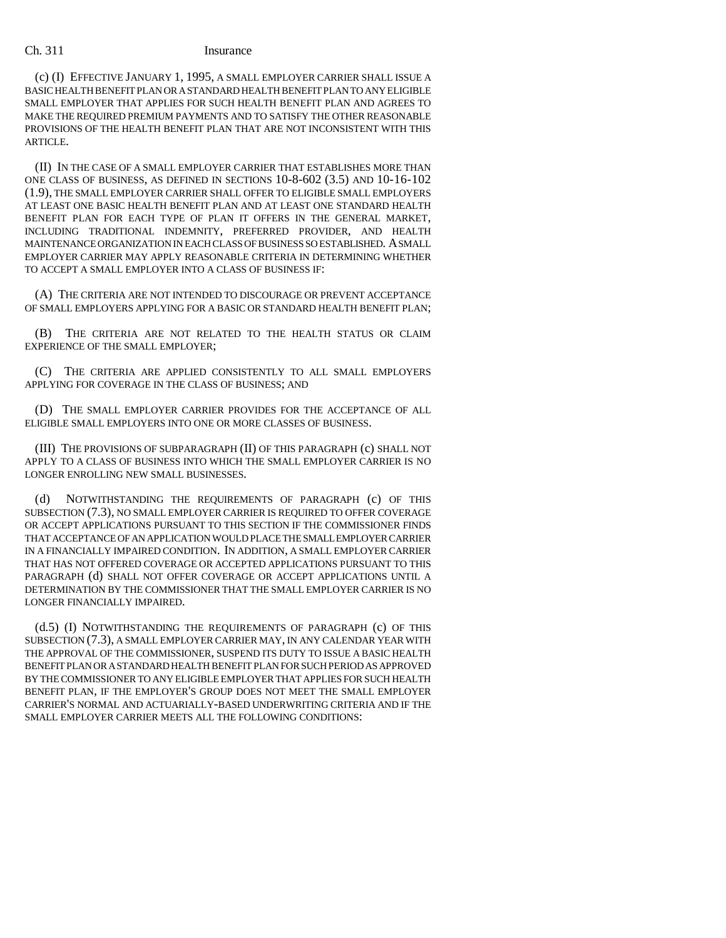(c) (I) EFFECTIVE JANUARY 1, 1995, A SMALL EMPLOYER CARRIER SHALL ISSUE A BASIC HEALTH BENEFIT PLAN OR A STANDARD HEALTH BENEFIT PLAN TO ANY ELIGIBLE SMALL EMPLOYER THAT APPLIES FOR SUCH HEALTH BENEFIT PLAN AND AGREES TO MAKE THE REQUIRED PREMIUM PAYMENTS AND TO SATISFY THE OTHER REASONABLE PROVISIONS OF THE HEALTH BENEFIT PLAN THAT ARE NOT INCONSISTENT WITH THIS ARTICLE.

(II) IN THE CASE OF A SMALL EMPLOYER CARRIER THAT ESTABLISHES MORE THAN ONE CLASS OF BUSINESS, AS DEFINED IN SECTIONS 10-8-602 (3.5) AND 10-16-102 (1.9), THE SMALL EMPLOYER CARRIER SHALL OFFER TO ELIGIBLE SMALL EMPLOYERS AT LEAST ONE BASIC HEALTH BENEFIT PLAN AND AT LEAST ONE STANDARD HEALTH BENEFIT PLAN FOR EACH TYPE OF PLAN IT OFFERS IN THE GENERAL MARKET, INCLUDING TRADITIONAL INDEMNITY, PREFERRED PROVIDER, AND HEALTH MAINTENANCE ORGANIZATION IN EACH CLASS OF BUSINESS SO ESTABLISHED. A SMALL EMPLOYER CARRIER MAY APPLY REASONABLE CRITERIA IN DETERMINING WHETHER TO ACCEPT A SMALL EMPLOYER INTO A CLASS OF BUSINESS IF:

(A) THE CRITERIA ARE NOT INTENDED TO DISCOURAGE OR PREVENT ACCEPTANCE OF SMALL EMPLOYERS APPLYING FOR A BASIC OR STANDARD HEALTH BENEFIT PLAN;

(B) THE CRITERIA ARE NOT RELATED TO THE HEALTH STATUS OR CLAIM EXPERIENCE OF THE SMALL EMPLOYER;

(C) THE CRITERIA ARE APPLIED CONSISTENTLY TO ALL SMALL EMPLOYERS APPLYING FOR COVERAGE IN THE CLASS OF BUSINESS; AND

(D) THE SMALL EMPLOYER CARRIER PROVIDES FOR THE ACCEPTANCE OF ALL ELIGIBLE SMALL EMPLOYERS INTO ONE OR MORE CLASSES OF BUSINESS.

(III) THE PROVISIONS OF SUBPARAGRAPH (II) OF THIS PARAGRAPH (c) SHALL NOT APPLY TO A CLASS OF BUSINESS INTO WHICH THE SMALL EMPLOYER CARRIER IS NO LONGER ENROLLING NEW SMALL BUSINESSES.

NOTWITHSTANDING THE REQUIREMENTS OF PARAGRAPH (c) OF THIS SUBSECTION (7.3), NO SMALL EMPLOYER CARRIER IS REQUIRED TO OFFER COVERAGE OR ACCEPT APPLICATIONS PURSUANT TO THIS SECTION IF THE COMMISSIONER FINDS THAT ACCEPTANCE OF AN APPLICATION WOULD PLACE THE SMALL EMPLOYER CARRIER IN A FINANCIALLY IMPAIRED CONDITION. IN ADDITION, A SMALL EMPLOYER CARRIER THAT HAS NOT OFFERED COVERAGE OR ACCEPTED APPLICATIONS PURSUANT TO THIS PARAGRAPH (d) SHALL NOT OFFER COVERAGE OR ACCEPT APPLICATIONS UNTIL A DETERMINATION BY THE COMMISSIONER THAT THE SMALL EMPLOYER CARRIER IS NO LONGER FINANCIALLY IMPAIRED.

(d.5) (I) NOTWITHSTANDING THE REQUIREMENTS OF PARAGRAPH (c) OF THIS SUBSECTION (7.3), A SMALL EMPLOYER CARRIER MAY, IN ANY CALENDAR YEAR WITH THE APPROVAL OF THE COMMISSIONER, SUSPEND ITS DUTY TO ISSUE A BASIC HEALTH BENEFIT PLAN OR A STANDARD HEALTH BENEFIT PLAN FOR SUCH PERIOD AS APPROVED BY THE COMMISSIONER TO ANY ELIGIBLE EMPLOYER THAT APPLIES FOR SUCH HEALTH BENEFIT PLAN, IF THE EMPLOYER'S GROUP DOES NOT MEET THE SMALL EMPLOYER CARRIER'S NORMAL AND ACTUARIALLY-BASED UNDERWRITING CRITERIA AND IF THE SMALL EMPLOYER CARRIER MEETS ALL THE FOLLOWING CONDITIONS: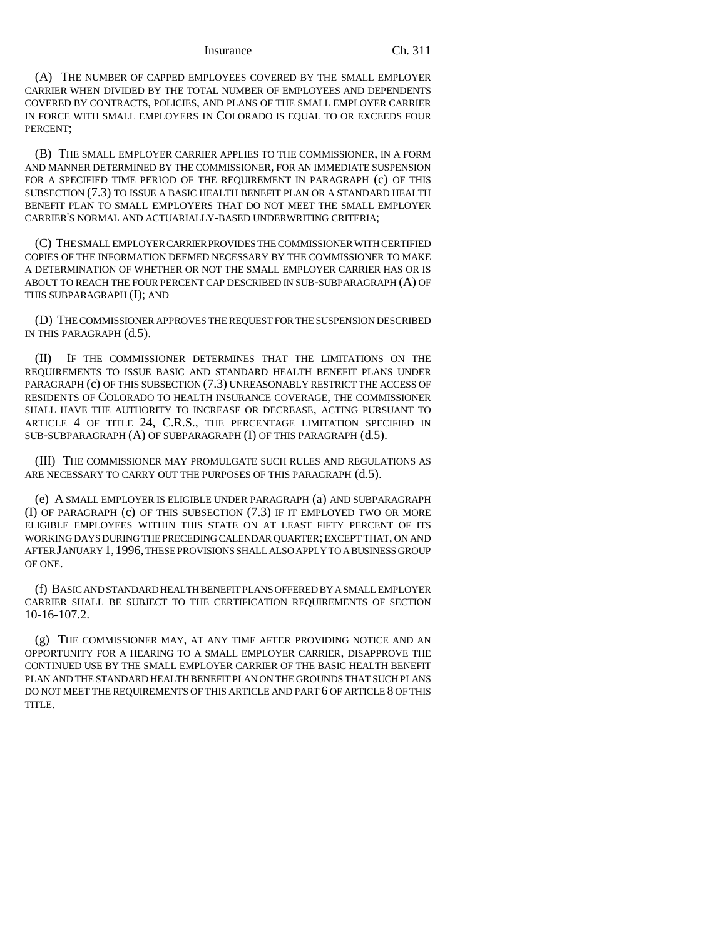(A) THE NUMBER OF CAPPED EMPLOYEES COVERED BY THE SMALL EMPLOYER CARRIER WHEN DIVIDED BY THE TOTAL NUMBER OF EMPLOYEES AND DEPENDENTS COVERED BY CONTRACTS, POLICIES, AND PLANS OF THE SMALL EMPLOYER CARRIER IN FORCE WITH SMALL EMPLOYERS IN COLORADO IS EQUAL TO OR EXCEEDS FOUR PERCENT;

(B) THE SMALL EMPLOYER CARRIER APPLIES TO THE COMMISSIONER, IN A FORM AND MANNER DETERMINED BY THE COMMISSIONER, FOR AN IMMEDIATE SUSPENSION FOR A SPECIFIED TIME PERIOD OF THE REQUIREMENT IN PARAGRAPH (c) OF THIS SUBSECTION (7.3) TO ISSUE A BASIC HEALTH BENEFIT PLAN OR A STANDARD HEALTH BENEFIT PLAN TO SMALL EMPLOYERS THAT DO NOT MEET THE SMALL EMPLOYER CARRIER'S NORMAL AND ACTUARIALLY-BASED UNDERWRITING CRITERIA;

(C) THE SMALL EMPLOYER CARRIER PROVIDES THE COMMISSIONER WITH CERTIFIED COPIES OF THE INFORMATION DEEMED NECESSARY BY THE COMMISSIONER TO MAKE A DETERMINATION OF WHETHER OR NOT THE SMALL EMPLOYER CARRIER HAS OR IS ABOUT TO REACH THE FOUR PERCENT CAP DESCRIBED IN SUB-SUBPARAGRAPH (A) OF THIS SUBPARAGRAPH (I); AND

(D) THE COMMISSIONER APPROVES THE REQUEST FOR THE SUSPENSION DESCRIBED IN THIS PARAGRAPH (d.5).

(II) IF THE COMMISSIONER DETERMINES THAT THE LIMITATIONS ON THE REQUIREMENTS TO ISSUE BASIC AND STANDARD HEALTH BENEFIT PLANS UNDER PARAGRAPH (c) OF THIS SUBSECTION (7.3) UNREASONABLY RESTRICT THE ACCESS OF RESIDENTS OF COLORADO TO HEALTH INSURANCE COVERAGE, THE COMMISSIONER SHALL HAVE THE AUTHORITY TO INCREASE OR DECREASE, ACTING PURSUANT TO ARTICLE 4 OF TITLE 24, C.R.S., THE PERCENTAGE LIMITATION SPECIFIED IN SUB-SUBPARAGRAPH (A) OF SUBPARAGRAPH (I) OF THIS PARAGRAPH (d.5).

(III) THE COMMISSIONER MAY PROMULGATE SUCH RULES AND REGULATIONS AS ARE NECESSARY TO CARRY OUT THE PURPOSES OF THIS PARAGRAPH  $(d.5)$ .

(e) A SMALL EMPLOYER IS ELIGIBLE UNDER PARAGRAPH (a) AND SUBPARAGRAPH (I) OF PARAGRAPH (c) OF THIS SUBSECTION (7.3) IF IT EMPLOYED TWO OR MORE ELIGIBLE EMPLOYEES WITHIN THIS STATE ON AT LEAST FIFTY PERCENT OF ITS WORKING DAYS DURING THE PRECEDING CALENDAR QUARTER; EXCEPT THAT, ON AND AFTER JANUARY 1,1996, THESE PROVISIONS SHALL ALSO APPLY TO A BUSINESS GROUP OF ONE.

(f) BASIC AND STANDARD HEALTH BENEFIT PLANS OFFERED BY A SMALL EMPLOYER CARRIER SHALL BE SUBJECT TO THE CERTIFICATION REQUIREMENTS OF SECTION 10-16-107.2.

(g) THE COMMISSIONER MAY, AT ANY TIME AFTER PROVIDING NOTICE AND AN OPPORTUNITY FOR A HEARING TO A SMALL EMPLOYER CARRIER, DISAPPROVE THE CONTINUED USE BY THE SMALL EMPLOYER CARRIER OF THE BASIC HEALTH BENEFIT PLAN AND THE STANDARD HEALTH BENEFIT PLAN ON THE GROUNDS THAT SUCH PLANS DO NOT MEET THE REQUIREMENTS OF THIS ARTICLE AND PART 6 OF ARTICLE 8 OF THIS TITLE.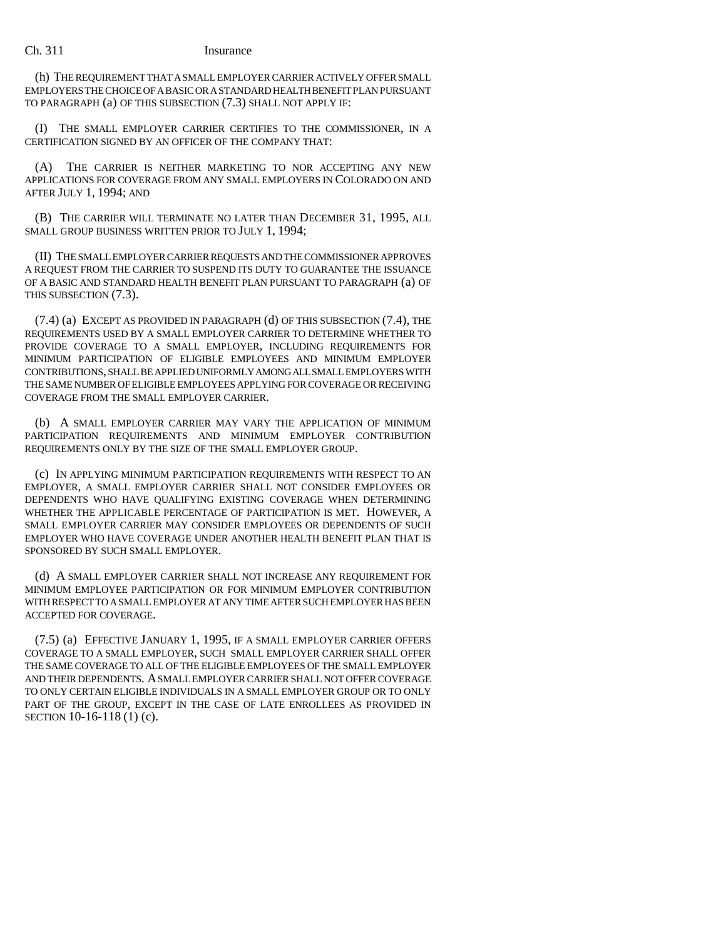(h) THE REQUIREMENT THAT A SMALL EMPLOYER CARRIER ACTIVELY OFFER SMALL EMPLOYERS THE CHOICE OF A BASIC OR A STANDARD HEALTH BENEFIT PLAN PURSUANT TO PARAGRAPH (a) OF THIS SUBSECTION (7.3) SHALL NOT APPLY IF:

(I) THE SMALL EMPLOYER CARRIER CERTIFIES TO THE COMMISSIONER, IN A CERTIFICATION SIGNED BY AN OFFICER OF THE COMPANY THAT:

(A) THE CARRIER IS NEITHER MARKETING TO NOR ACCEPTING ANY NEW APPLICATIONS FOR COVERAGE FROM ANY SMALL EMPLOYERS IN COLORADO ON AND AFTER JULY 1, 1994; AND

(B) THE CARRIER WILL TERMINATE NO LATER THAN DECEMBER 31, 1995, ALL SMALL GROUP BUSINESS WRITTEN PRIOR TO JULY 1, 1994;

(II) THE SMALL EMPLOYER CARRIER REQUESTS AND THE COMMISSIONER APPROVES A REQUEST FROM THE CARRIER TO SUSPEND ITS DUTY TO GUARANTEE THE ISSUANCE OF A BASIC AND STANDARD HEALTH BENEFIT PLAN PURSUANT TO PARAGRAPH (a) OF THIS SUBSECTION (7.3).

(7.4) (a) EXCEPT AS PROVIDED IN PARAGRAPH (d) OF THIS SUBSECTION (7.4), THE REQUIREMENTS USED BY A SMALL EMPLOYER CARRIER TO DETERMINE WHETHER TO PROVIDE COVERAGE TO A SMALL EMPLOYER, INCLUDING REQUIREMENTS FOR MINIMUM PARTICIPATION OF ELIGIBLE EMPLOYEES AND MINIMUM EMPLOYER CONTRIBUTIONS, SHALL BE APPLIED UNIFORMLY AMONG ALL SMALL EMPLOYERS WITH THE SAME NUMBER OF ELIGIBLE EMPLOYEES APPLYING FOR COVERAGE OR RECEIVING COVERAGE FROM THE SMALL EMPLOYER CARRIER.

(b) A SMALL EMPLOYER CARRIER MAY VARY THE APPLICATION OF MINIMUM PARTICIPATION REQUIREMENTS AND MINIMUM EMPLOYER CONTRIBUTION REQUIREMENTS ONLY BY THE SIZE OF THE SMALL EMPLOYER GROUP.

(c) IN APPLYING MINIMUM PARTICIPATION REQUIREMENTS WITH RESPECT TO AN EMPLOYER, A SMALL EMPLOYER CARRIER SHALL NOT CONSIDER EMPLOYEES OR DEPENDENTS WHO HAVE QUALIFYING EXISTING COVERAGE WHEN DETERMINING WHETHER THE APPLICABLE PERCENTAGE OF PARTICIPATION IS MET. HOWEVER, A SMALL EMPLOYER CARRIER MAY CONSIDER EMPLOYEES OR DEPENDENTS OF SUCH EMPLOYER WHO HAVE COVERAGE UNDER ANOTHER HEALTH BENEFIT PLAN THAT IS SPONSORED BY SUCH SMALL EMPLOYER.

(d) A SMALL EMPLOYER CARRIER SHALL NOT INCREASE ANY REQUIREMENT FOR MINIMUM EMPLOYEE PARTICIPATION OR FOR MINIMUM EMPLOYER CONTRIBUTION WITH RESPECT TO A SMALL EMPLOYER AT ANY TIME AFTER SUCH EMPLOYER HAS BEEN ACCEPTED FOR COVERAGE.

(7.5) (a) EFFECTIVE JANUARY 1, 1995, IF A SMALL EMPLOYER CARRIER OFFERS COVERAGE TO A SMALL EMPLOYER, SUCH SMALL EMPLOYER CARRIER SHALL OFFER THE SAME COVERAGE TO ALL OF THE ELIGIBLE EMPLOYEES OF THE SMALL EMPLOYER AND THEIR DEPENDENTS. A SMALL EMPLOYER CARRIER SHALL NOT OFFER COVERAGE TO ONLY CERTAIN ELIGIBLE INDIVIDUALS IN A SMALL EMPLOYER GROUP OR TO ONLY PART OF THE GROUP, EXCEPT IN THE CASE OF LATE ENROLLEES AS PROVIDED IN SECTION 10-16-118 (1) (c).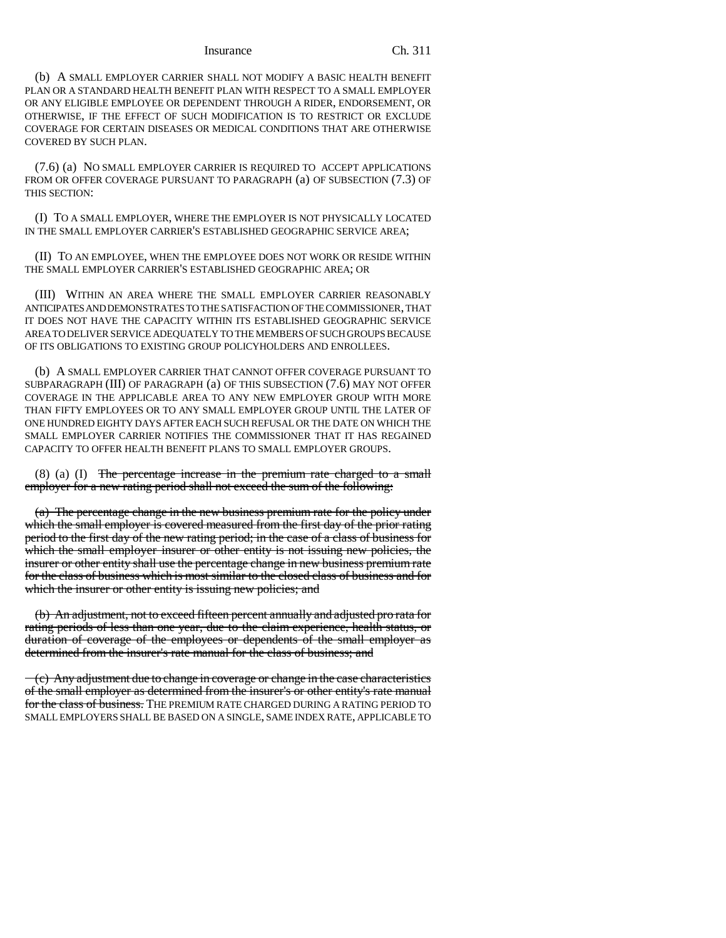(b) A SMALL EMPLOYER CARRIER SHALL NOT MODIFY A BASIC HEALTH BENEFIT PLAN OR A STANDARD HEALTH BENEFIT PLAN WITH RESPECT TO A SMALL EMPLOYER OR ANY ELIGIBLE EMPLOYEE OR DEPENDENT THROUGH A RIDER, ENDORSEMENT, OR OTHERWISE, IF THE EFFECT OF SUCH MODIFICATION IS TO RESTRICT OR EXCLUDE COVERAGE FOR CERTAIN DISEASES OR MEDICAL CONDITIONS THAT ARE OTHERWISE COVERED BY SUCH PLAN.

(7.6) (a) NO SMALL EMPLOYER CARRIER IS REQUIRED TO ACCEPT APPLICATIONS FROM OR OFFER COVERAGE PURSUANT TO PARAGRAPH (a) OF SUBSECTION (7.3) OF THIS SECTION:

(I) TO A SMALL EMPLOYER, WHERE THE EMPLOYER IS NOT PHYSICALLY LOCATED IN THE SMALL EMPLOYER CARRIER'S ESTABLISHED GEOGRAPHIC SERVICE AREA;

(II) TO AN EMPLOYEE, WHEN THE EMPLOYEE DOES NOT WORK OR RESIDE WITHIN THE SMALL EMPLOYER CARRIER'S ESTABLISHED GEOGRAPHIC AREA; OR

(III) WITHIN AN AREA WHERE THE SMALL EMPLOYER CARRIER REASONABLY ANTICIPATES AND DEMONSTRATES TO THE SATISFACTION OF THE COMMISSIONER, THAT IT DOES NOT HAVE THE CAPACITY WITHIN ITS ESTABLISHED GEOGRAPHIC SERVICE AREA TO DELIVER SERVICE ADEQUATELY TO THE MEMBERS OF SUCH GROUPS BECAUSE OF ITS OBLIGATIONS TO EXISTING GROUP POLICYHOLDERS AND ENROLLEES.

(b) A SMALL EMPLOYER CARRIER THAT CANNOT OFFER COVERAGE PURSUANT TO SUBPARAGRAPH (III) OF PARAGRAPH (a) OF THIS SUBSECTION (7.6) MAY NOT OFFER COVERAGE IN THE APPLICABLE AREA TO ANY NEW EMPLOYER GROUP WITH MORE THAN FIFTY EMPLOYEES OR TO ANY SMALL EMPLOYER GROUP UNTIL THE LATER OF ONE HUNDRED EIGHTY DAYS AFTER EACH SUCH REFUSAL OR THE DATE ON WHICH THE SMALL EMPLOYER CARRIER NOTIFIES THE COMMISSIONER THAT IT HAS REGAINED CAPACITY TO OFFER HEALTH BENEFIT PLANS TO SMALL EMPLOYER GROUPS.

 $(8)$   $(1)$  The percentage increase in the premium rate charged to a small employer for a new rating period shall not exceed the sum of the following:

(a) The percentage change in the new business premium rate for the policy under which the small employer is covered measured from the first day of the prior rating period to the first day of the new rating period; in the case of a class of business for which the small employer insurer or other entity is not issuing new policies, the insurer or other entity shall use the percentage change in new business premium rate for the class of business which is most similar to the closed class of business and for which the insurer or other entity is issuing new policies; and

(b) An adjustment, not to exceed fifteen percent annually and adjusted pro rata for rating periods of less than one year, due to the claim experience, health status, or duration of coverage of the employees or dependents of the small employer as determined from the insurer's rate manual for the class of business; and

(c) Any adjustment due to change in coverage or change in the case characteristics of the small employer as determined from the insurer's or other entity's rate manual for the class of business. THE PREMIUM RATE CHARGED DURING A RATING PERIOD TO SMALL EMPLOYERS SHALL BE BASED ON A SINGLE, SAME INDEX RATE, APPLICABLE TO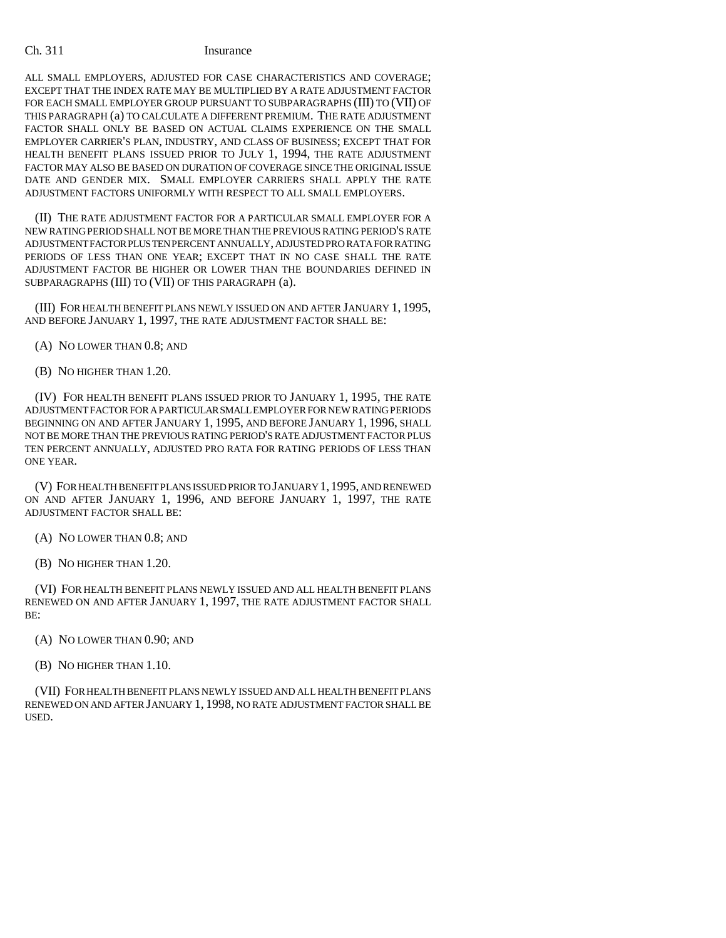ALL SMALL EMPLOYERS, ADJUSTED FOR CASE CHARACTERISTICS AND COVERAGE; EXCEPT THAT THE INDEX RATE MAY BE MULTIPLIED BY A RATE ADJUSTMENT FACTOR FOR EACH SMALL EMPLOYER GROUP PURSUANT TO SUBPARAGRAPHS (III) TO (VII) OF THIS PARAGRAPH (a) TO CALCULATE A DIFFERENT PREMIUM. THE RATE ADJUSTMENT FACTOR SHALL ONLY BE BASED ON ACTUAL CLAIMS EXPERIENCE ON THE SMALL EMPLOYER CARRIER'S PLAN, INDUSTRY, AND CLASS OF BUSINESS; EXCEPT THAT FOR HEALTH BENEFIT PLANS ISSUED PRIOR TO JULY 1, 1994, THE RATE ADJUSTMENT FACTOR MAY ALSO BE BASED ON DURATION OF COVERAGE SINCE THE ORIGINAL ISSUE DATE AND GENDER MIX. SMALL EMPLOYER CARRIERS SHALL APPLY THE RATE ADJUSTMENT FACTORS UNIFORMLY WITH RESPECT TO ALL SMALL EMPLOYERS.

(II) THE RATE ADJUSTMENT FACTOR FOR A PARTICULAR SMALL EMPLOYER FOR A NEW RATING PERIOD SHALL NOT BE MORE THAN THE PREVIOUS RATING PERIOD'S RATE ADJUSTMENT FACTOR PLUS TEN PERCENT ANNUALLY, ADJUSTED PRO RATA FOR RATING PERIODS OF LESS THAN ONE YEAR; EXCEPT THAT IN NO CASE SHALL THE RATE ADJUSTMENT FACTOR BE HIGHER OR LOWER THAN THE BOUNDARIES DEFINED IN SUBPARAGRAPHS (III) TO (VII) OF THIS PARAGRAPH (a).

(III) FOR HEALTH BENEFIT PLANS NEWLY ISSUED ON AND AFTER JANUARY 1, 1995, AND BEFORE JANUARY 1, 1997, THE RATE ADJUSTMENT FACTOR SHALL BE:

- (A) NO LOWER THAN 0.8; AND
- (B) NO HIGHER THAN 1.20.

(IV) FOR HEALTH BENEFIT PLANS ISSUED PRIOR TO JANUARY 1, 1995, THE RATE ADJUSTMENT FACTOR FOR A PARTICULAR SMALL EMPLOYER FOR NEW RATING PERIODS BEGINNING ON AND AFTER JANUARY 1, 1995, AND BEFORE JANUARY 1, 1996, SHALL NOT BE MORE THAN THE PREVIOUS RATING PERIOD'S RATE ADJUSTMENT FACTOR PLUS TEN PERCENT ANNUALLY, ADJUSTED PRO RATA FOR RATING PERIODS OF LESS THAN ONE YEAR.

(V) FOR HEALTH BENEFIT PLANS ISSUED PRIOR TO JANUARY 1,1995, AND RENEWED ON AND AFTER JANUARY 1, 1996, AND BEFORE JANUARY 1, 1997, THE RATE ADJUSTMENT FACTOR SHALL BE:

- (A) NO LOWER THAN 0.8; AND
- (B) NO HIGHER THAN 1.20.

(VI) FOR HEALTH BENEFIT PLANS NEWLY ISSUED AND ALL HEALTH BENEFIT PLANS RENEWED ON AND AFTER JANUARY 1, 1997, THE RATE ADJUSTMENT FACTOR SHALL BE:

- (A) NO LOWER THAN 0.90; AND
- (B) NO HIGHER THAN 1.10.

(VII) FOR HEALTH BENEFIT PLANS NEWLY ISSUED AND ALL HEALTH BENEFIT PLANS RENEWED ON AND AFTER JANUARY 1, 1998, NO RATE ADJUSTMENT FACTOR SHALL BE USED.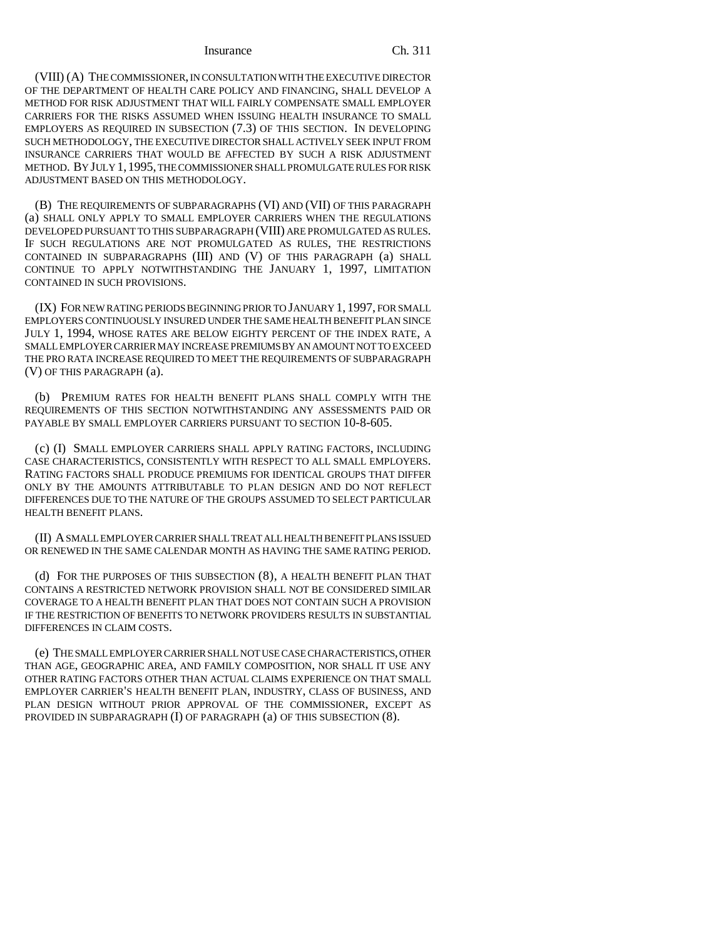(VIII) (A) THE COMMISSIONER, IN CONSULTATION WITH THE EXECUTIVE DIRECTOR OF THE DEPARTMENT OF HEALTH CARE POLICY AND FINANCING, SHALL DEVELOP A METHOD FOR RISK ADJUSTMENT THAT WILL FAIRLY COMPENSATE SMALL EMPLOYER CARRIERS FOR THE RISKS ASSUMED WHEN ISSUING HEALTH INSURANCE TO SMALL EMPLOYERS AS REQUIRED IN SUBSECTION (7.3) OF THIS SECTION. IN DEVELOPING SUCH METHODOLOGY, THE EXECUTIVE DIRECTOR SHALL ACTIVELY SEEK INPUT FROM INSURANCE CARRIERS THAT WOULD BE AFFECTED BY SUCH A RISK ADJUSTMENT METHOD. BY JULY 1,1995, THE COMMISSIONER SHALL PROMULGATE RULES FOR RISK ADJUSTMENT BASED ON THIS METHODOLOGY.

(B) THE REQUIREMENTS OF SUBPARAGRAPHS (VI) AND (VII) OF THIS PARAGRAPH (a) SHALL ONLY APPLY TO SMALL EMPLOYER CARRIERS WHEN THE REGULATIONS DEVELOPED PURSUANT TO THIS SUBPARAGRAPH (VIII) ARE PROMULGATED AS RULES. IF SUCH REGULATIONS ARE NOT PROMULGATED AS RULES, THE RESTRICTIONS CONTAINED IN SUBPARAGRAPHS (III) AND (V) OF THIS PARAGRAPH (a) SHALL CONTINUE TO APPLY NOTWITHSTANDING THE JANUARY 1, 1997, LIMITATION CONTAINED IN SUCH PROVISIONS.

(IX) FOR NEW RATING PERIODS BEGINNING PRIOR TO JANUARY 1, 1997, FOR SMALL EMPLOYERS CONTINUOUSLY INSURED UNDER THE SAME HEALTH BENEFIT PLAN SINCE JULY 1, 1994, WHOSE RATES ARE BELOW EIGHTY PERCENT OF THE INDEX RATE, A SMALL EMPLOYER CARRIER MAY INCREASE PREMIUMS BY AN AMOUNT NOT TO EXCEED THE PRO RATA INCREASE REQUIRED TO MEET THE REQUIREMENTS OF SUBPARAGRAPH (V) OF THIS PARAGRAPH (a).

(b) PREMIUM RATES FOR HEALTH BENEFIT PLANS SHALL COMPLY WITH THE REQUIREMENTS OF THIS SECTION NOTWITHSTANDING ANY ASSESSMENTS PAID OR PAYABLE BY SMALL EMPLOYER CARRIERS PURSUANT TO SECTION 10-8-605.

(c) (I) SMALL EMPLOYER CARRIERS SHALL APPLY RATING FACTORS, INCLUDING CASE CHARACTERISTICS, CONSISTENTLY WITH RESPECT TO ALL SMALL EMPLOYERS. RATING FACTORS SHALL PRODUCE PREMIUMS FOR IDENTICAL GROUPS THAT DIFFER ONLY BY THE AMOUNTS ATTRIBUTABLE TO PLAN DESIGN AND DO NOT REFLECT DIFFERENCES DUE TO THE NATURE OF THE GROUPS ASSUMED TO SELECT PARTICULAR HEALTH BENEFIT PLANS.

(II) A SMALL EMPLOYER CARRIER SHALL TREAT ALL HEALTH BENEFIT PLANS ISSUED OR RENEWED IN THE SAME CALENDAR MONTH AS HAVING THE SAME RATING PERIOD.

(d) FOR THE PURPOSES OF THIS SUBSECTION (8), A HEALTH BENEFIT PLAN THAT CONTAINS A RESTRICTED NETWORK PROVISION SHALL NOT BE CONSIDERED SIMILAR COVERAGE TO A HEALTH BENEFIT PLAN THAT DOES NOT CONTAIN SUCH A PROVISION IF THE RESTRICTION OF BENEFITS TO NETWORK PROVIDERS RESULTS IN SUBSTANTIAL DIFFERENCES IN CLAIM COSTS.

(e) THE SMALL EMPLOYER CARRIER SHALL NOT USE CASE CHARACTERISTICS, OTHER THAN AGE, GEOGRAPHIC AREA, AND FAMILY COMPOSITION, NOR SHALL IT USE ANY OTHER RATING FACTORS OTHER THAN ACTUAL CLAIMS EXPERIENCE ON THAT SMALL EMPLOYER CARRIER'S HEALTH BENEFIT PLAN, INDUSTRY, CLASS OF BUSINESS, AND PLAN DESIGN WITHOUT PRIOR APPROVAL OF THE COMMISSIONER, EXCEPT AS PROVIDED IN SUBPARAGRAPH (I) OF PARAGRAPH (a) OF THIS SUBSECTION (8).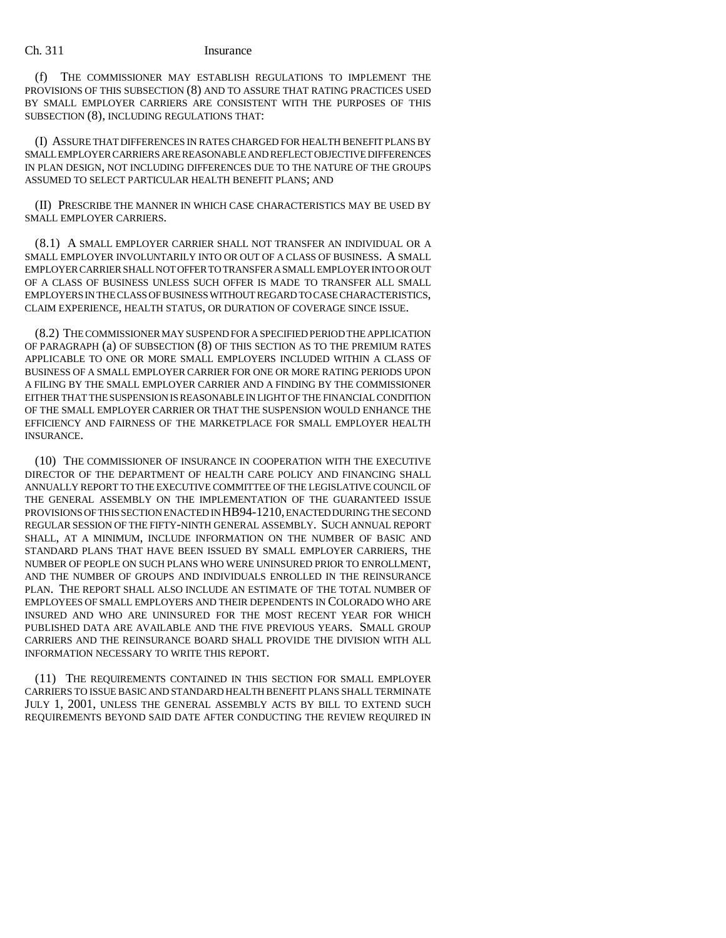(f) THE COMMISSIONER MAY ESTABLISH REGULATIONS TO IMPLEMENT THE PROVISIONS OF THIS SUBSECTION (8) AND TO ASSURE THAT RATING PRACTICES USED BY SMALL EMPLOYER CARRIERS ARE CONSISTENT WITH THE PURPOSES OF THIS SUBSECTION (8), INCLUDING REGULATIONS THAT:

(I) ASSURE THAT DIFFERENCES IN RATES CHARGED FOR HEALTH BENEFIT PLANS BY SMALL EMPLOYER CARRIERS ARE REASONABLE AND REFLECT OBJECTIVE DIFFERENCES IN PLAN DESIGN, NOT INCLUDING DIFFERENCES DUE TO THE NATURE OF THE GROUPS ASSUMED TO SELECT PARTICULAR HEALTH BENEFIT PLANS; AND

(II) PRESCRIBE THE MANNER IN WHICH CASE CHARACTERISTICS MAY BE USED BY SMALL EMPLOYER CARRIERS.

(8.1) A SMALL EMPLOYER CARRIER SHALL NOT TRANSFER AN INDIVIDUAL OR A SMALL EMPLOYER INVOLUNTARILY INTO OR OUT OF A CLASS OF BUSINESS. A SMALL EMPLOYER CARRIER SHALL NOT OFFER TO TRANSFER A SMALL EMPLOYER INTO OR OUT OF A CLASS OF BUSINESS UNLESS SUCH OFFER IS MADE TO TRANSFER ALL SMALL EMPLOYERS IN THE CLASS OF BUSINESS WITHOUT REGARD TO CASE CHARACTERISTICS, CLAIM EXPERIENCE, HEALTH STATUS, OR DURATION OF COVERAGE SINCE ISSUE.

(8.2) THE COMMISSIONER MAY SUSPEND FOR A SPECIFIED PERIOD THE APPLICATION OF PARAGRAPH (a) OF SUBSECTION (8) OF THIS SECTION AS TO THE PREMIUM RATES APPLICABLE TO ONE OR MORE SMALL EMPLOYERS INCLUDED WITHIN A CLASS OF BUSINESS OF A SMALL EMPLOYER CARRIER FOR ONE OR MORE RATING PERIODS UPON A FILING BY THE SMALL EMPLOYER CARRIER AND A FINDING BY THE COMMISSIONER EITHER THAT THE SUSPENSION IS REASONABLE IN LIGHT OF THE FINANCIAL CONDITION OF THE SMALL EMPLOYER CARRIER OR THAT THE SUSPENSION WOULD ENHANCE THE EFFICIENCY AND FAIRNESS OF THE MARKETPLACE FOR SMALL EMPLOYER HEALTH INSURANCE.

(10) THE COMMISSIONER OF INSURANCE IN COOPERATION WITH THE EXECUTIVE DIRECTOR OF THE DEPARTMENT OF HEALTH CARE POLICY AND FINANCING SHALL ANNUALLY REPORT TO THE EXECUTIVE COMMITTEE OF THE LEGISLATIVE COUNCIL OF THE GENERAL ASSEMBLY ON THE IMPLEMENTATION OF THE GUARANTEED ISSUE PROVISIONS OF THIS SECTION ENACTED IN HB94-1210, ENACTED DURING THE SECOND REGULAR SESSION OF THE FIFTY-NINTH GENERAL ASSEMBLY. SUCH ANNUAL REPORT SHALL, AT A MINIMUM, INCLUDE INFORMATION ON THE NUMBER OF BASIC AND STANDARD PLANS THAT HAVE BEEN ISSUED BY SMALL EMPLOYER CARRIERS, THE NUMBER OF PEOPLE ON SUCH PLANS WHO WERE UNINSURED PRIOR TO ENROLLMENT, AND THE NUMBER OF GROUPS AND INDIVIDUALS ENROLLED IN THE REINSURANCE PLAN. THE REPORT SHALL ALSO INCLUDE AN ESTIMATE OF THE TOTAL NUMBER OF EMPLOYEES OF SMALL EMPLOYERS AND THEIR DEPENDENTS IN COLORADO WHO ARE INSURED AND WHO ARE UNINSURED FOR THE MOST RECENT YEAR FOR WHICH PUBLISHED DATA ARE AVAILABLE AND THE FIVE PREVIOUS YEARS. SMALL GROUP CARRIERS AND THE REINSURANCE BOARD SHALL PROVIDE THE DIVISION WITH ALL INFORMATION NECESSARY TO WRITE THIS REPORT.

(11) THE REQUIREMENTS CONTAINED IN THIS SECTION FOR SMALL EMPLOYER CARRIERS TO ISSUE BASIC AND STANDARD HEALTH BENEFIT PLANS SHALL TERMINATE JULY 1, 2001, UNLESS THE GENERAL ASSEMBLY ACTS BY BILL TO EXTEND SUCH REQUIREMENTS BEYOND SAID DATE AFTER CONDUCTING THE REVIEW REQUIRED IN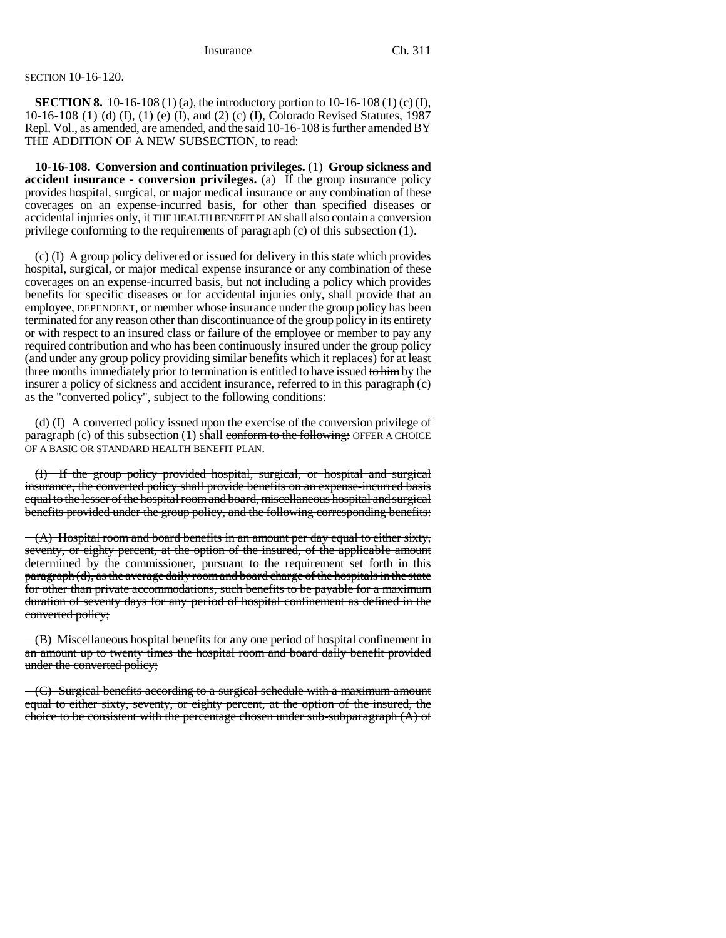## SECTION 10-16-120.

**SECTION 8.** 10-16-108 (1) (a), the introductory portion to 10-16-108 (1) (c) (I), 10-16-108 (1) (d) (I), (1) (e) (I), and (2) (c) (I), Colorado Revised Statutes, 1987 Repl. Vol., as amended, are amended, and the said 10-16-108 is further amended BY THE ADDITION OF A NEW SUBSECTION, to read:

**10-16-108. Conversion and continuation privileges.** (1) **Group sickness and accident insurance - conversion privileges.** (a) If the group insurance policy provides hospital, surgical, or major medical insurance or any combination of these coverages on an expense-incurred basis, for other than specified diseases or accidental injuries only, it THE HEALTH BENEFIT PLAN shall also contain a conversion privilege conforming to the requirements of paragraph (c) of this subsection (1).

(c) (I) A group policy delivered or issued for delivery in this state which provides hospital, surgical, or major medical expense insurance or any combination of these coverages on an expense-incurred basis, but not including a policy which provides benefits for specific diseases or for accidental injuries only, shall provide that an employee, DEPENDENT, or member whose insurance under the group policy has been terminated for any reason other than discontinuance of the group policy in its entirety or with respect to an insured class or failure of the employee or member to pay any required contribution and who has been continuously insured under the group policy (and under any group policy providing similar benefits which it replaces) for at least three months immediately prior to termination is entitled to have issued to him by the insurer a policy of sickness and accident insurance, referred to in this paragraph (c) as the "converted policy", subject to the following conditions:

(d) (I) A converted policy issued upon the exercise of the conversion privilege of paragraph (c) of this subsection  $(1)$  shall conform to the following: OFFER A CHOICE OF A BASIC OR STANDARD HEALTH BENEFIT PLAN.

(I) If the group policy provided hospital, surgical, or hospital and surgical insurance, the converted policy shall provide benefits on an expense-incurred basis equal to the lesser of the hospital room and board, miscellaneous hospital and surgical benefits provided under the group policy, and the following corresponding benefits:

 $-(A)$  Hospital room and board benefits in an amount per day equal to either sixty, seventy, or eighty percent, at the option of the insured, of the applicable amount determined by the commissioner, pursuant to the requirement set forth in this paragraph (d), as the average daily room and board charge of the hospitals in the state for other than private accommodations, such benefits to be payable for a maximum duration of seventy days for any period of hospital confinement as defined in the converted policy;

(B) Miscellaneous hospital benefits for any one period of hospital confinement in an amount up to twenty times the hospital room and board daily benefit provided under the converted policy;

 $-(C)$  Surgical benefits according to a surgical schedule with a maximum amount equal to either sixty, seventy, or eighty percent, at the option of the insured, the choice to be consistent with the percentage chosen under sub-subparagraph (A) of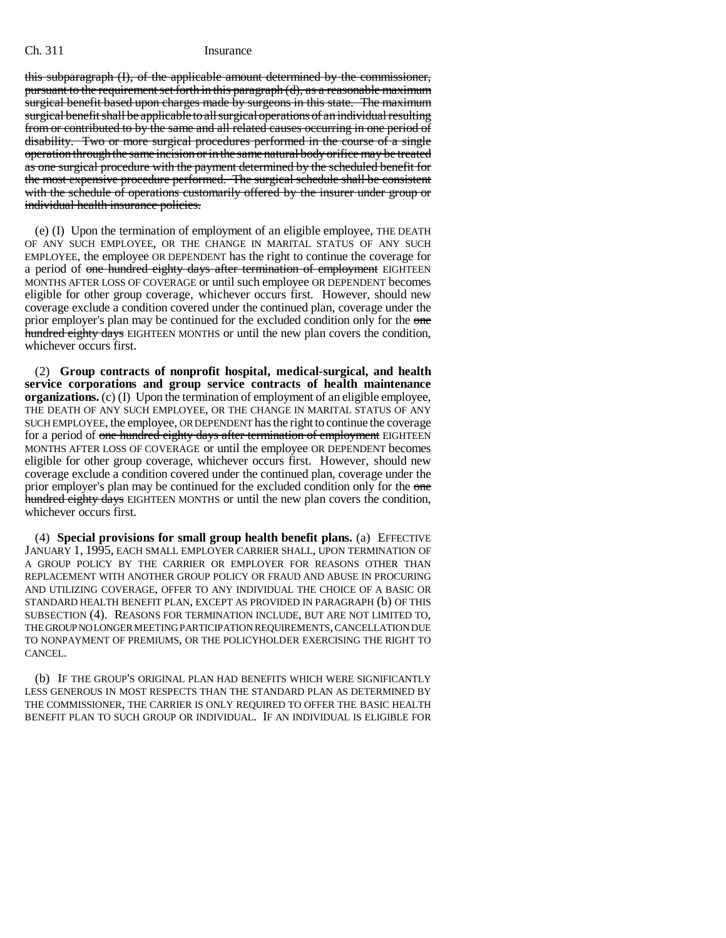this subparagraph (I), of the applicable amount determined by the commissioner, pursuant to the requirement set forth in this paragraph (d), as a reasonable maximum surgical benefit based upon charges made by surgeons in this state. The maximum surgical benefit shall be applicable to all surgical operations of an individual resulting from or contributed to by the same and all related causes occurring in one period of disability. Two or more surgical procedures performed in the course of a single operation through the same incision or in the same natural body orifice may be treated as one surgical procedure with the payment determined by the scheduled benefit for the most expensive procedure performed. The surgical schedule shall be consistent with the schedule of operations customarily offered by the insurer under group or individual health insurance policies.

(e) (I) Upon the termination of employment of an eligible employee, THE DEATH OF ANY SUCH EMPLOYEE, OR THE CHANGE IN MARITAL STATUS OF ANY SUCH EMPLOYEE, the employee OR DEPENDENT has the right to continue the coverage for a period of one hundred eighty days after termination of employment EIGHTEEN MONTHS AFTER LOSS OF COVERAGE or until such employee OR DEPENDENT becomes eligible for other group coverage, whichever occurs first. However, should new coverage exclude a condition covered under the continued plan, coverage under the prior employer's plan may be continued for the excluded condition only for the one hundred eighty days EIGHTEEN MONTHS or until the new plan covers the condition, whichever occurs first.

(2) **Group contracts of nonprofit hospital, medical-surgical, and health service corporations and group service contracts of health maintenance organizations.** (c) (I) Upon the termination of employment of an eligible employee, THE DEATH OF ANY SUCH EMPLOYEE, OR THE CHANGE IN MARITAL STATUS OF ANY SUCH EMPLOYEE, the employee, OR DEPENDENT has the right to continue the coverage for a period of one hundred eighty days after termination of employment EIGHTEEN MONTHS AFTER LOSS OF COVERAGE or until the employee OR DEPENDENT becomes eligible for other group coverage, whichever occurs first. However, should new coverage exclude a condition covered under the continued plan, coverage under the prior employer's plan may be continued for the excluded condition only for the one hundred eighty days EIGHTEEN MONTHS or until the new plan covers the condition, whichever occurs first.

(4) **Special provisions for small group health benefit plans.** (a) EFFECTIVE JANUARY 1, 1995, EACH SMALL EMPLOYER CARRIER SHALL, UPON TERMINATION OF A GROUP POLICY BY THE CARRIER OR EMPLOYER FOR REASONS OTHER THAN REPLACEMENT WITH ANOTHER GROUP POLICY OR FRAUD AND ABUSE IN PROCURING AND UTILIZING COVERAGE, OFFER TO ANY INDIVIDUAL THE CHOICE OF A BASIC OR STANDARD HEALTH BENEFIT PLAN, EXCEPT AS PROVIDED IN PARAGRAPH (b) OF THIS SUBSECTION (4). REASONS FOR TERMINATION INCLUDE, BUT ARE NOT LIMITED TO, THE GROUP NO LONGER MEETING PARTICIPATION REQUIREMENTS, CANCELLATION DUE TO NONPAYMENT OF PREMIUMS, OR THE POLICYHOLDER EXERCISING THE RIGHT TO CANCEL.

(b) IF THE GROUP'S ORIGINAL PLAN HAD BENEFITS WHICH WERE SIGNIFICANTLY LESS GENEROUS IN MOST RESPECTS THAN THE STANDARD PLAN AS DETERMINED BY THE COMMISSIONER, THE CARRIER IS ONLY REQUIRED TO OFFER THE BASIC HEALTH BENEFIT PLAN TO SUCH GROUP OR INDIVIDUAL. IF AN INDIVIDUAL IS ELIGIBLE FOR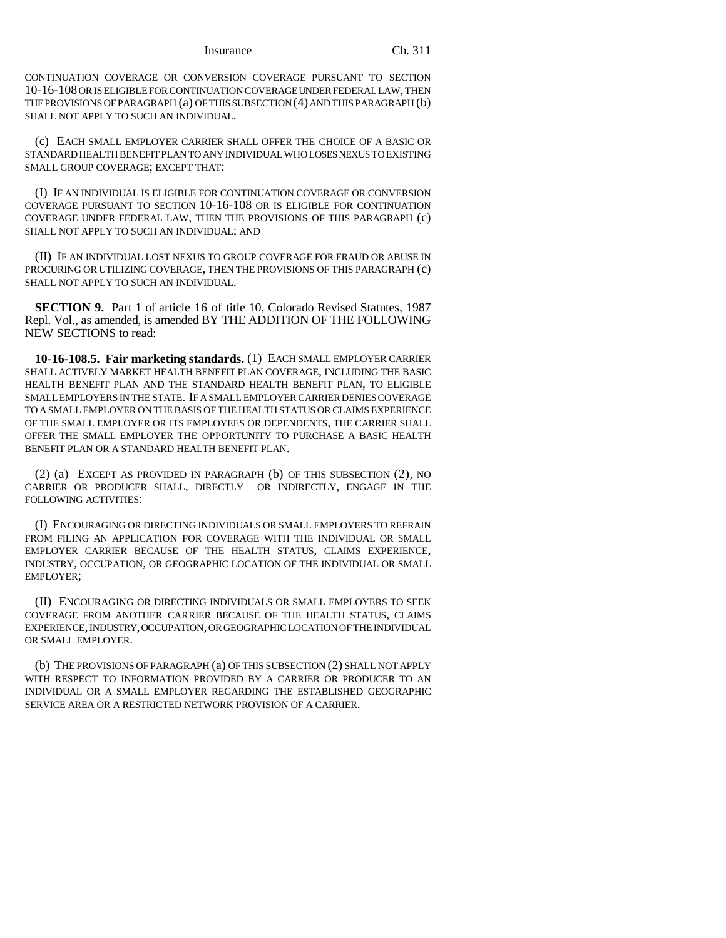CONTINUATION COVERAGE OR CONVERSION COVERAGE PURSUANT TO SECTION 10-16-108 OR IS ELIGIBLE FOR CONTINUATION COVERAGE UNDER FEDERAL LAW, THEN THE PROVISIONS OF PARAGRAPH (a) OF THIS SUBSECTION (4) AND THIS PARAGRAPH (b) SHALL NOT APPLY TO SUCH AN INDIVIDUAL.

(c) EACH SMALL EMPLOYER CARRIER SHALL OFFER THE CHOICE OF A BASIC OR STANDARD HEALTH BENEFIT PLAN TO ANY INDIVIDUAL WHO LOSES NEXUS TO EXISTING SMALL GROUP COVERAGE; EXCEPT THAT:

(I) IF AN INDIVIDUAL IS ELIGIBLE FOR CONTINUATION COVERAGE OR CONVERSION COVERAGE PURSUANT TO SECTION 10-16-108 OR IS ELIGIBLE FOR CONTINUATION COVERAGE UNDER FEDERAL LAW, THEN THE PROVISIONS OF THIS PARAGRAPH (c) SHALL NOT APPLY TO SUCH AN INDIVIDUAL; AND

(II) IF AN INDIVIDUAL LOST NEXUS TO GROUP COVERAGE FOR FRAUD OR ABUSE IN PROCURING OR UTILIZING COVERAGE, THEN THE PROVISIONS OF THIS PARAGRAPH (c) SHALL NOT APPLY TO SUCH AN INDIVIDUAL.

**SECTION 9.** Part 1 of article 16 of title 10, Colorado Revised Statutes, 1987 Repl. Vol., as amended, is amended BY THE ADDITION OF THE FOLLOWING NEW SECTIONS to read:

**10-16-108.5. Fair marketing standards.** (1) EACH SMALL EMPLOYER CARRIER SHALL ACTIVELY MARKET HEALTH BENEFIT PLAN COVERAGE, INCLUDING THE BASIC HEALTH BENEFIT PLAN AND THE STANDARD HEALTH BENEFIT PLAN, TO ELIGIBLE SMALL EMPLOYERS IN THE STATE. IF A SMALL EMPLOYER CARRIER DENIES COVERAGE TO A SMALL EMPLOYER ON THE BASIS OF THE HEALTH STATUS OR CLAIMS EXPERIENCE OF THE SMALL EMPLOYER OR ITS EMPLOYEES OR DEPENDENTS, THE CARRIER SHALL OFFER THE SMALL EMPLOYER THE OPPORTUNITY TO PURCHASE A BASIC HEALTH BENEFIT PLAN OR A STANDARD HEALTH BENEFIT PLAN.

(2) (a) EXCEPT AS PROVIDED IN PARAGRAPH (b) OF THIS SUBSECTION (2), NO CARRIER OR PRODUCER SHALL, DIRECTLY OR INDIRECTLY, ENGAGE IN THE FOLLOWING ACTIVITIES:

(I) ENCOURAGING OR DIRECTING INDIVIDUALS OR SMALL EMPLOYERS TO REFRAIN FROM FILING AN APPLICATION FOR COVERAGE WITH THE INDIVIDUAL OR SMALL EMPLOYER CARRIER BECAUSE OF THE HEALTH STATUS, CLAIMS EXPERIENCE, INDUSTRY, OCCUPATION, OR GEOGRAPHIC LOCATION OF THE INDIVIDUAL OR SMALL EMPLOYER;

(II) ENCOURAGING OR DIRECTING INDIVIDUALS OR SMALL EMPLOYERS TO SEEK COVERAGE FROM ANOTHER CARRIER BECAUSE OF THE HEALTH STATUS, CLAIMS EXPERIENCE, INDUSTRY, OCCUPATION, OR GEOGRAPHIC LOCATION OF THE INDIVIDUAL OR SMALL EMPLOYER.

(b) THE PROVISIONS OF PARAGRAPH (a) OF THIS SUBSECTION (2) SHALL NOT APPLY WITH RESPECT TO INFORMATION PROVIDED BY A CARRIER OR PRODUCER TO AN INDIVIDUAL OR A SMALL EMPLOYER REGARDING THE ESTABLISHED GEOGRAPHIC SERVICE AREA OR A RESTRICTED NETWORK PROVISION OF A CARRIER.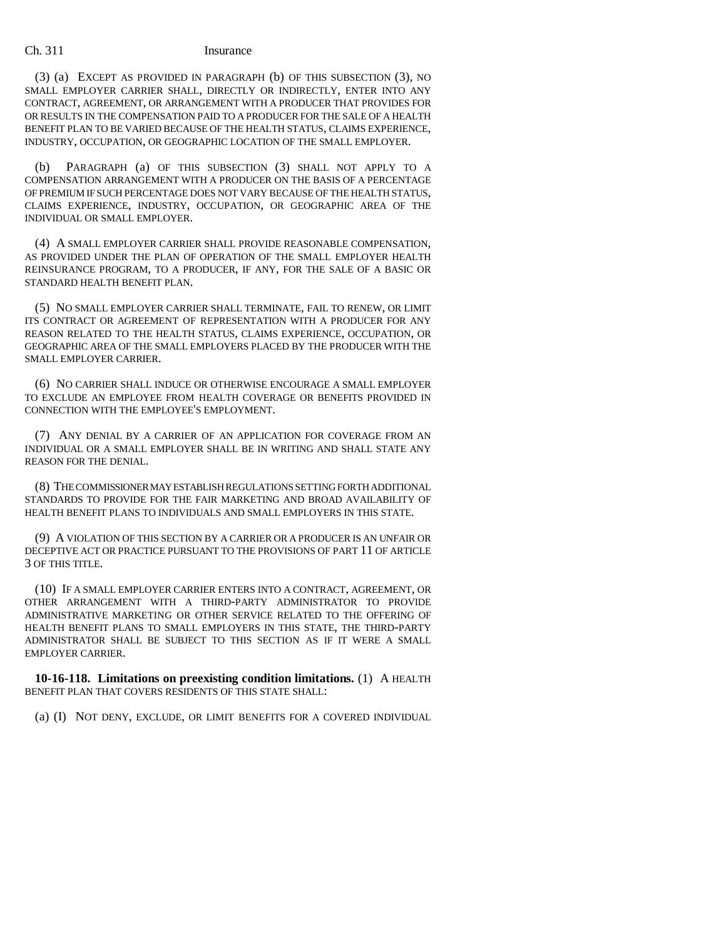(3) (a) EXCEPT AS PROVIDED IN PARAGRAPH (b) OF THIS SUBSECTION (3), NO SMALL EMPLOYER CARRIER SHALL, DIRECTLY OR INDIRECTLY, ENTER INTO ANY CONTRACT, AGREEMENT, OR ARRANGEMENT WITH A PRODUCER THAT PROVIDES FOR OR RESULTS IN THE COMPENSATION PAID TO A PRODUCER FOR THE SALE OF A HEALTH BENEFIT PLAN TO BE VARIED BECAUSE OF THE HEALTH STATUS, CLAIMS EXPERIENCE, INDUSTRY, OCCUPATION, OR GEOGRAPHIC LOCATION OF THE SMALL EMPLOYER.

(b) PARAGRAPH (a) OF THIS SUBSECTION (3) SHALL NOT APPLY TO A COMPENSATION ARRANGEMENT WITH A PRODUCER ON THE BASIS OF A PERCENTAGE OF PREMIUM IF SUCH PERCENTAGE DOES NOT VARY BECAUSE OF THE HEALTH STATUS, CLAIMS EXPERIENCE, INDUSTRY, OCCUPATION, OR GEOGRAPHIC AREA OF THE INDIVIDUAL OR SMALL EMPLOYER.

(4) A SMALL EMPLOYER CARRIER SHALL PROVIDE REASONABLE COMPENSATION, AS PROVIDED UNDER THE PLAN OF OPERATION OF THE SMALL EMPLOYER HEALTH REINSURANCE PROGRAM, TO A PRODUCER, IF ANY, FOR THE SALE OF A BASIC OR STANDARD HEALTH BENEFIT PLAN.

(5) NO SMALL EMPLOYER CARRIER SHALL TERMINATE, FAIL TO RENEW, OR LIMIT ITS CONTRACT OR AGREEMENT OF REPRESENTATION WITH A PRODUCER FOR ANY REASON RELATED TO THE HEALTH STATUS, CLAIMS EXPERIENCE, OCCUPATION, OR GEOGRAPHIC AREA OF THE SMALL EMPLOYERS PLACED BY THE PRODUCER WITH THE SMALL EMPLOYER CARRIER.

(6) NO CARRIER SHALL INDUCE OR OTHERWISE ENCOURAGE A SMALL EMPLOYER TO EXCLUDE AN EMPLOYEE FROM HEALTH COVERAGE OR BENEFITS PROVIDED IN CONNECTION WITH THE EMPLOYEE'S EMPLOYMENT.

(7) ANY DENIAL BY A CARRIER OF AN APPLICATION FOR COVERAGE FROM AN INDIVIDUAL OR A SMALL EMPLOYER SHALL BE IN WRITING AND SHALL STATE ANY REASON FOR THE DENIAL.

(8) THE COMMISSIONER MAY ESTABLISH REGULATIONS SETTING FORTH ADDITIONAL STANDARDS TO PROVIDE FOR THE FAIR MARKETING AND BROAD AVAILABILITY OF HEALTH BENEFIT PLANS TO INDIVIDUALS AND SMALL EMPLOYERS IN THIS STATE.

(9) A VIOLATION OF THIS SECTION BY A CARRIER OR A PRODUCER IS AN UNFAIR OR DECEPTIVE ACT OR PRACTICE PURSUANT TO THE PROVISIONS OF PART 11 OF ARTICLE 3 OF THIS TITLE.

(10) IF A SMALL EMPLOYER CARRIER ENTERS INTO A CONTRACT, AGREEMENT, OR OTHER ARRANGEMENT WITH A THIRD-PARTY ADMINISTRATOR TO PROVIDE ADMINISTRATIVE MARKETING OR OTHER SERVICE RELATED TO THE OFFERING OF HEALTH BENEFIT PLANS TO SMALL EMPLOYERS IN THIS STATE, THE THIRD-PARTY ADMINISTRATOR SHALL BE SUBJECT TO THIS SECTION AS IF IT WERE A SMALL EMPLOYER CARRIER.

**10-16-118. Limitations on preexisting condition limitations.** (1) A HEALTH BENEFIT PLAN THAT COVERS RESIDENTS OF THIS STATE SHALL:

(a) (I) NOT DENY, EXCLUDE, OR LIMIT BENEFITS FOR A COVERED INDIVIDUAL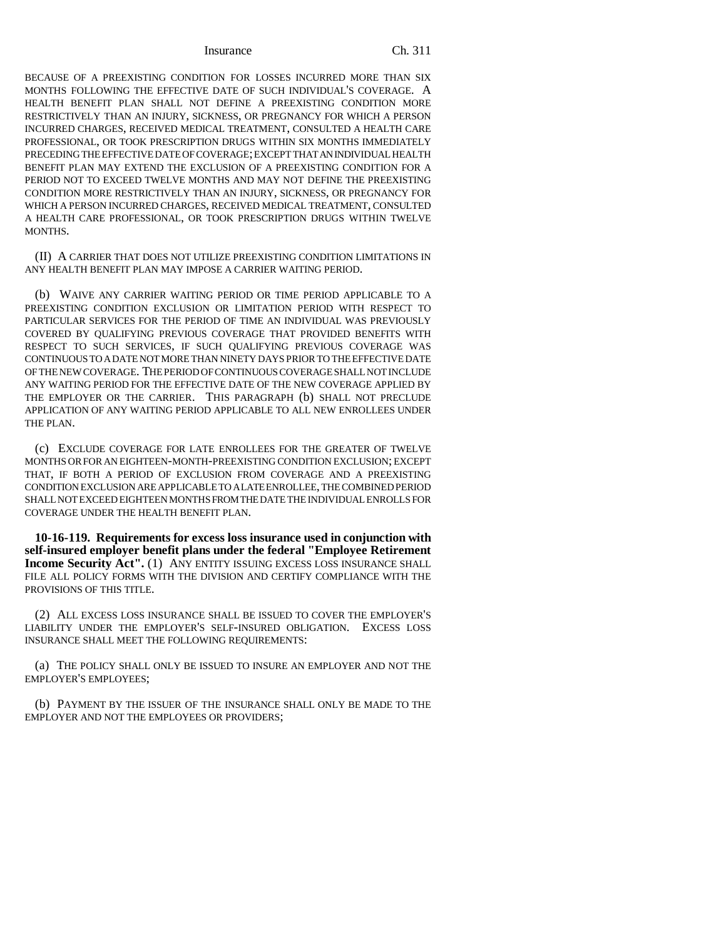BECAUSE OF A PREEXISTING CONDITION FOR LOSSES INCURRED MORE THAN SIX MONTHS FOLLOWING THE EFFECTIVE DATE OF SUCH INDIVIDUAL'S COVERAGE. A HEALTH BENEFIT PLAN SHALL NOT DEFINE A PREEXISTING CONDITION MORE RESTRICTIVELY THAN AN INJURY, SICKNESS, OR PREGNANCY FOR WHICH A PERSON INCURRED CHARGES, RECEIVED MEDICAL TREATMENT, CONSULTED A HEALTH CARE PROFESSIONAL, OR TOOK PRESCRIPTION DRUGS WITHIN SIX MONTHS IMMEDIATELY PRECEDING THE EFFECTIVE DATE OF COVERAGE; EXCEPT THAT AN INDIVIDUAL HEALTH BENEFIT PLAN MAY EXTEND THE EXCLUSION OF A PREEXISTING CONDITION FOR A PERIOD NOT TO EXCEED TWELVE MONTHS AND MAY NOT DEFINE THE PREEXISTING CONDITION MORE RESTRICTIVELY THAN AN INJURY, SICKNESS, OR PREGNANCY FOR WHICH A PERSON INCURRED CHARGES, RECEIVED MEDICAL TREATMENT, CONSULTED A HEALTH CARE PROFESSIONAL, OR TOOK PRESCRIPTION DRUGS WITHIN TWELVE MONTHS.

(II) A CARRIER THAT DOES NOT UTILIZE PREEXISTING CONDITION LIMITATIONS IN ANY HEALTH BENEFIT PLAN MAY IMPOSE A CARRIER WAITING PERIOD.

(b) WAIVE ANY CARRIER WAITING PERIOD OR TIME PERIOD APPLICABLE TO A PREEXISTING CONDITION EXCLUSION OR LIMITATION PERIOD WITH RESPECT TO PARTICULAR SERVICES FOR THE PERIOD OF TIME AN INDIVIDUAL WAS PREVIOUSLY COVERED BY QUALIFYING PREVIOUS COVERAGE THAT PROVIDED BENEFITS WITH RESPECT TO SUCH SERVICES, IF SUCH QUALIFYING PREVIOUS COVERAGE WAS CONTINUOUS TO A DATE NOT MORE THAN NINETY DAYS PRIOR TO THE EFFECTIVE DATE OF THE NEW COVERAGE. THE PERIOD OF CONTINUOUS COVERAGE SHALL NOT INCLUDE ANY WAITING PERIOD FOR THE EFFECTIVE DATE OF THE NEW COVERAGE APPLIED BY THE EMPLOYER OR THE CARRIER. THIS PARAGRAPH (b) SHALL NOT PRECLUDE APPLICATION OF ANY WAITING PERIOD APPLICABLE TO ALL NEW ENROLLEES UNDER THE PLAN.

(c) EXCLUDE COVERAGE FOR LATE ENROLLEES FOR THE GREATER OF TWELVE MONTHS OR FOR AN EIGHTEEN-MONTH-PREEXISTING CONDITION EXCLUSION; EXCEPT THAT, IF BOTH A PERIOD OF EXCLUSION FROM COVERAGE AND A PREEXISTING CONDITION EXCLUSION ARE APPLICABLE TO A LATE ENROLLEE, THE COMBINED PERIOD SHALL NOT EXCEED EIGHTEEN MONTHS FROM THE DATE THE INDIVIDUAL ENROLLS FOR COVERAGE UNDER THE HEALTH BENEFIT PLAN.

**10-16-119. Requirements for excess loss insurance used in conjunction with self-insured employer benefit plans under the federal "Employee Retirement Income Security Act".** (1) ANY ENTITY ISSUING EXCESS LOSS INSURANCE SHALL FILE ALL POLICY FORMS WITH THE DIVISION AND CERTIFY COMPLIANCE WITH THE PROVISIONS OF THIS TITLE.

(2) ALL EXCESS LOSS INSURANCE SHALL BE ISSUED TO COVER THE EMPLOYER'S LIABILITY UNDER THE EMPLOYER'S SELF-INSURED OBLIGATION. EXCESS LOSS INSURANCE SHALL MEET THE FOLLOWING REQUIREMENTS:

(a) THE POLICY SHALL ONLY BE ISSUED TO INSURE AN EMPLOYER AND NOT THE EMPLOYER'S EMPLOYEES;

(b) PAYMENT BY THE ISSUER OF THE INSURANCE SHALL ONLY BE MADE TO THE EMPLOYER AND NOT THE EMPLOYEES OR PROVIDERS;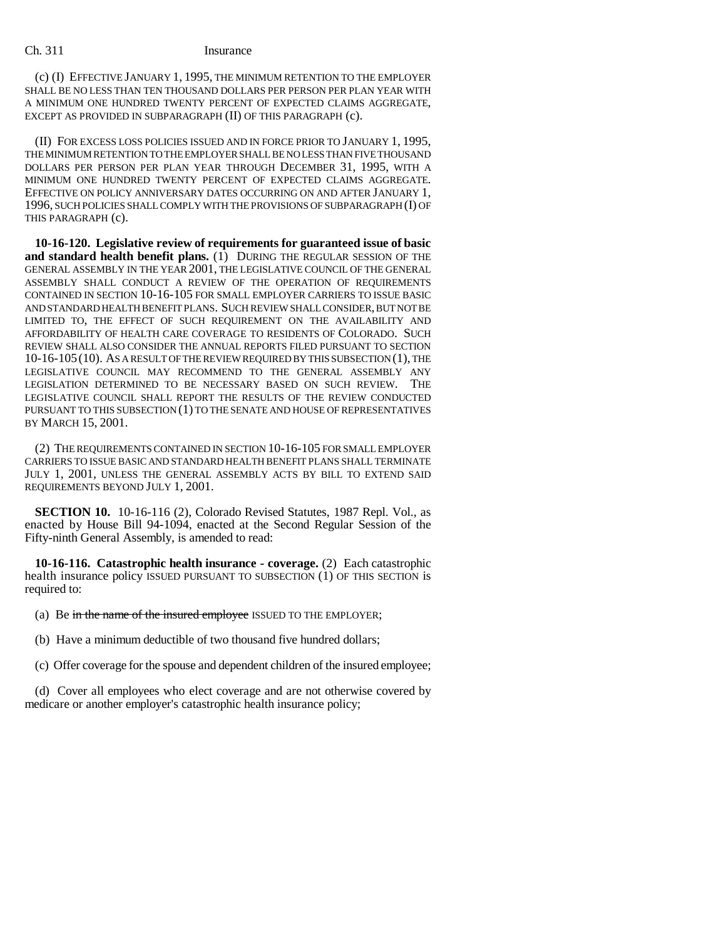(c) (I) EFFECTIVE JANUARY 1, 1995, THE MINIMUM RETENTION TO THE EMPLOYER SHALL BE NO LESS THAN TEN THOUSAND DOLLARS PER PERSON PER PLAN YEAR WITH A MINIMUM ONE HUNDRED TWENTY PERCENT OF EXPECTED CLAIMS AGGREGATE, EXCEPT AS PROVIDED IN SUBPARAGRAPH (II) OF THIS PARAGRAPH (c).

(II) FOR EXCESS LOSS POLICIES ISSUED AND IN FORCE PRIOR TO JANUARY 1, 1995, THE MINIMUM RETENTION TO THE EMPLOYER SHALL BE NO LESS THAN FIVE THOUSAND DOLLARS PER PERSON PER PLAN YEAR THROUGH DECEMBER 31, 1995, WITH A MINIMUM ONE HUNDRED TWENTY PERCENT OF EXPECTED CLAIMS AGGREGATE. EFFECTIVE ON POLICY ANNIVERSARY DATES OCCURRING ON AND AFTER JANUARY 1, 1996, SUCH POLICIES SHALL COMPLY WITH THE PROVISIONS OF SUBPARAGRAPH (I) OF THIS PARAGRAPH (c).

**10-16-120. Legislative review of requirements for guaranteed issue of basic and standard health benefit plans.** (1) DURING THE REGULAR SESSION OF THE GENERAL ASSEMBLY IN THE YEAR 2001, THE LEGISLATIVE COUNCIL OF THE GENERAL ASSEMBLY SHALL CONDUCT A REVIEW OF THE OPERATION OF REQUIREMENTS CONTAINED IN SECTION 10-16-105 FOR SMALL EMPLOYER CARRIERS TO ISSUE BASIC AND STANDARD HEALTH BENEFIT PLANS. SUCH REVIEW SHALL CONSIDER, BUT NOT BE LIMITED TO, THE EFFECT OF SUCH REQUIREMENT ON THE AVAILABILITY AND AFFORDABILITY OF HEALTH CARE COVERAGE TO RESIDENTS OF COLORADO. SUCH REVIEW SHALL ALSO CONSIDER THE ANNUAL REPORTS FILED PURSUANT TO SECTION 10-16-105(10). AS A RESULT OF THE REVIEW REQUIRED BY THIS SUBSECTION (1), THE LEGISLATIVE COUNCIL MAY RECOMMEND TO THE GENERAL ASSEMBLY ANY LEGISLATION DETERMINED TO BE NECESSARY BASED ON SUCH REVIEW. THE LEGISLATIVE COUNCIL SHALL REPORT THE RESULTS OF THE REVIEW CONDUCTED PURSUANT TO THIS SUBSECTION (1) TO THE SENATE AND HOUSE OF REPRESENTATIVES BY MARCH 15, 2001.

(2) THE REQUIREMENTS CONTAINED IN SECTION 10-16-105 FOR SMALL EMPLOYER CARRIERS TO ISSUE BASIC AND STANDARD HEALTH BENEFIT PLANS SHALL TERMINATE JULY 1, 2001, UNLESS THE GENERAL ASSEMBLY ACTS BY BILL TO EXTEND SAID REQUIREMENTS BEYOND JULY 1, 2001.

**SECTION 10.** 10-16-116 (2), Colorado Revised Statutes, 1987 Repl. Vol., as enacted by House Bill 94-1094, enacted at the Second Regular Session of the Fifty-ninth General Assembly, is amended to read:

**10-16-116. Catastrophic health insurance - coverage.** (2) Each catastrophic health insurance policy ISSUED PURSUANT TO SUBSECTION (1) OF THIS SECTION is required to:

(a) Be in the name of the insured employee ISSUED TO THE EMPLOYER;

(b) Have a minimum deductible of two thousand five hundred dollars;

(c) Offer coverage for the spouse and dependent children of the insured employee;

(d) Cover all employees who elect coverage and are not otherwise covered by medicare or another employer's catastrophic health insurance policy;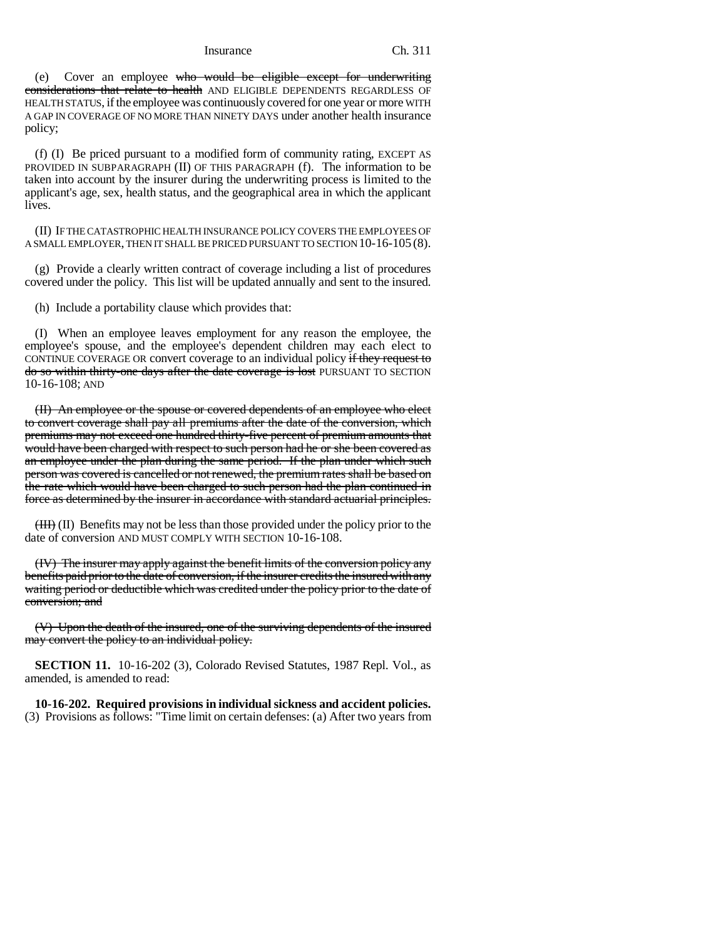(e) Cover an employee who would be eligible except for underwriting considerations that relate to health AND ELIGIBLE DEPENDENTS REGARDLESS OF HEALTH STATUS, if the employee was continuously covered for one year or more WITH A GAP IN COVERAGE OF NO MORE THAN NINETY DAYS under another health insurance policy;

(f) (I) Be priced pursuant to a modified form of community rating, EXCEPT AS PROVIDED IN SUBPARAGRAPH (II) OF THIS PARAGRAPH (f). The information to be taken into account by the insurer during the underwriting process is limited to the applicant's age, sex, health status, and the geographical area in which the applicant lives.

(II) IF THE CATASTROPHIC HEALTH INSURANCE POLICY COVERS THE EMPLOYEES OF A SMALL EMPLOYER, THEN IT SHALL BE PRICED PURSUANT TO SECTION 10-16-105 (8).

(g) Provide a clearly written contract of coverage including a list of procedures covered under the policy. This list will be updated annually and sent to the insured.

(h) Include a portability clause which provides that:

(I) When an employee leaves employment for any reason the employee, the employee's spouse, and the employee's dependent children may each elect to CONTINUE COVERAGE OR convert coverage to an individual policy if they request to do so within thirty-one days after the date coverage is lost PURSUANT TO SECTION 10-16-108; AND

(II) An employee or the spouse or covered dependents of an employee who elect to convert coverage shall pay all premiums after the date of the conversion, which premiums may not exceed one hundred thirty-five percent of premium amounts that would have been charged with respect to such person had he or she been covered as an employee under the plan during the same period. If the plan under which such person was covered is cancelled or not renewed, the premium rates shall be based on the rate which would have been charged to such person had the plan continued in force as determined by the insurer in accordance with standard actuarial principles.

 $(HH)$  (II) Benefits may not be less than those provided under the policy prior to the date of conversion AND MUST COMPLY WITH SECTION 10-16-108.

(IV) The insurer may apply against the benefit limits of the conversion policy any benefits paid prior to the date of conversion, if the insurer credits the insured with any waiting period or deductible which was credited under the policy prior to the date of conversion; and

(V) Upon the death of the insured, one of the surviving dependents of the insured may convert the policy to an individual policy.

**SECTION 11.** 10-16-202 (3), Colorado Revised Statutes, 1987 Repl. Vol., as amended, is amended to read:

**10-16-202. Required provisions in individual sickness and accident policies.** (3) Provisions as follows: "Time limit on certain defenses: (a) After two years from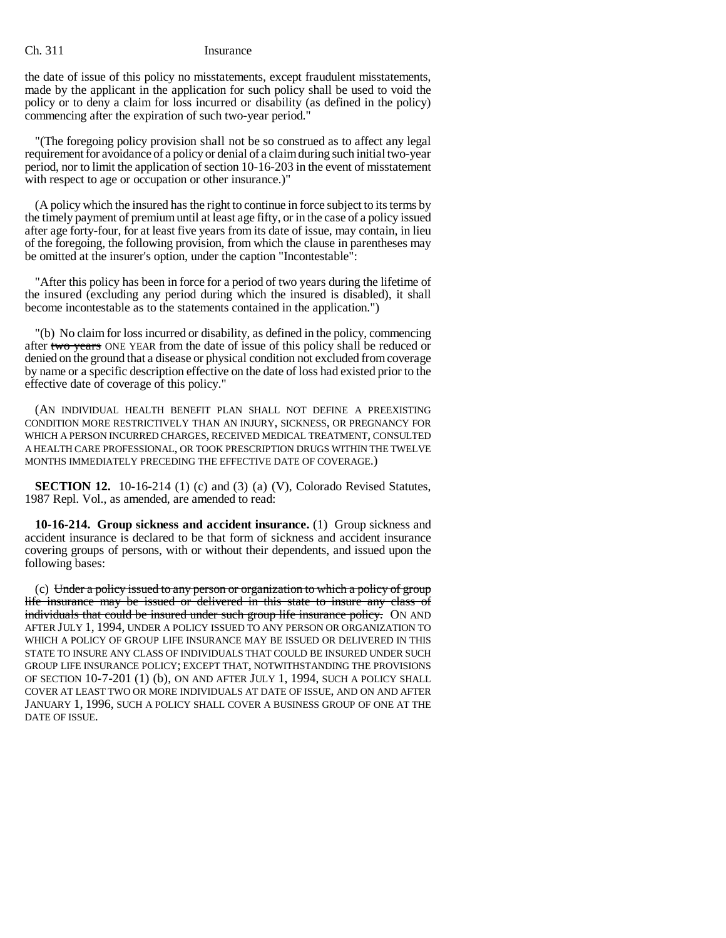the date of issue of this policy no misstatements, except fraudulent misstatements, made by the applicant in the application for such policy shall be used to void the policy or to deny a claim for loss incurred or disability (as defined in the policy) commencing after the expiration of such two-year period."

"(The foregoing policy provision shall not be so construed as to affect any legal requirement for avoidance of a policy or denial of a claim during such initial two-year period, nor to limit the application of section 10-16-203 in the event of misstatement with respect to age or occupation or other insurance.)"

(A policy which the insured has the right to continue in force subject to its terms by the timely payment of premium until at least age fifty, or in the case of a policy issued after age forty-four, for at least five years from its date of issue, may contain, in lieu of the foregoing, the following provision, from which the clause in parentheses may be omitted at the insurer's option, under the caption "Incontestable":

"After this policy has been in force for a period of two years during the lifetime of the insured (excluding any period during which the insured is disabled), it shall become incontestable as to the statements contained in the application.")

"(b) No claim for loss incurred or disability, as defined in the policy, commencing after two years ONE YEAR from the date of issue of this policy shall be reduced or denied on the ground that a disease or physical condition not excluded from coverage by name or a specific description effective on the date of loss had existed prior to the effective date of coverage of this policy."

(AN INDIVIDUAL HEALTH BENEFIT PLAN SHALL NOT DEFINE A PREEXISTING CONDITION MORE RESTRICTIVELY THAN AN INJURY, SICKNESS, OR PREGNANCY FOR WHICH A PERSON INCURRED CHARGES, RECEIVED MEDICAL TREATMENT, CONSULTED A HEALTH CARE PROFESSIONAL, OR TOOK PRESCRIPTION DRUGS WITHIN THE TWELVE MONTHS IMMEDIATELY PRECEDING THE EFFECTIVE DATE OF COVERAGE.)

**SECTION 12.** 10-16-214 (1) (c) and (3) (a) (V), Colorado Revised Statutes, 1987 Repl. Vol., as amended, are amended to read:

**10-16-214. Group sickness and accident insurance.** (1) Group sickness and accident insurance is declared to be that form of sickness and accident insurance covering groups of persons, with or without their dependents, and issued upon the following bases:

(c) Under a policy issued to any person or organization to which a policy of group life insurance may be issued or delivered in this state to insure any class of individuals that could be insured under such group life insurance policy. ON AND AFTER JULY 1, 1994, UNDER A POLICY ISSUED TO ANY PERSON OR ORGANIZATION TO WHICH A POLICY OF GROUP LIFE INSURANCE MAY BE ISSUED OR DELIVERED IN THIS STATE TO INSURE ANY CLASS OF INDIVIDUALS THAT COULD BE INSURED UNDER SUCH GROUP LIFE INSURANCE POLICY; EXCEPT THAT, NOTWITHSTANDING THE PROVISIONS OF SECTION 10-7-201 (1) (b), ON AND AFTER JULY 1, 1994, SUCH A POLICY SHALL COVER AT LEAST TWO OR MORE INDIVIDUALS AT DATE OF ISSUE, AND ON AND AFTER JANUARY 1, 1996, SUCH A POLICY SHALL COVER A BUSINESS GROUP OF ONE AT THE DATE OF ISSUE.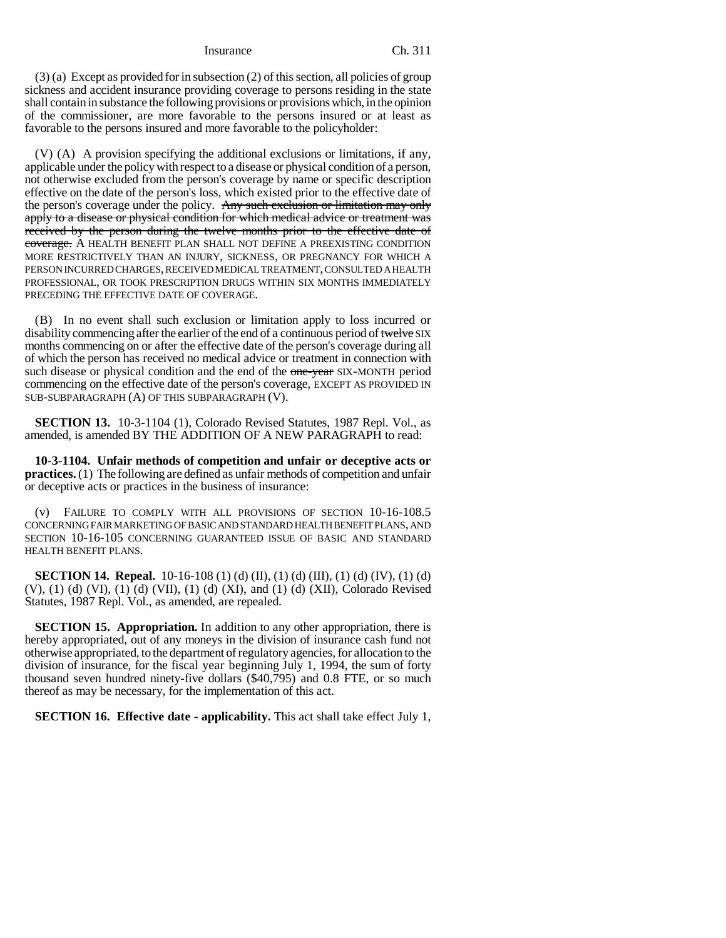(3) (a) Except as provided for in subsection (2) of this section, all policies of group sickness and accident insurance providing coverage to persons residing in the state shall contain in substance the following provisions or provisions which, in the opinion of the commissioner, are more favorable to the persons insured or at least as favorable to the persons insured and more favorable to the policyholder:

(V) (A) A provision specifying the additional exclusions or limitations, if any, applicable under the policy with respect to a disease or physical condition of a person, not otherwise excluded from the person's coverage by name or specific description effective on the date of the person's loss, which existed prior to the effective date of the person's coverage under the policy. Any such exclusion or limitation may only apply to a disease or physical condition for which medical advice or treatment was received by the person during the twelve months prior to the effective date of coverage. A HEALTH BENEFIT PLAN SHALL NOT DEFINE A PREEXISTING CONDITION MORE RESTRICTIVELY THAN AN INJURY, SICKNESS, OR PREGNANCY FOR WHICH A PERSON INCURRED CHARGES, RECEIVED MEDICAL TREATMENT, CONSULTED A HEALTH PROFESSIONAL, OR TOOK PRESCRIPTION DRUGS WITHIN SIX MONTHS IMMEDIATELY PRECEDING THE EFFECTIVE DATE OF COVERAGE.

(B) In no event shall such exclusion or limitation apply to loss incurred or disability commencing after the earlier of the end of a continuous period of twelve SIX months commencing on or after the effective date of the person's coverage during all of which the person has received no medical advice or treatment in connection with such disease or physical condition and the end of the one-year SIX-MONTH period commencing on the effective date of the person's coverage, EXCEPT AS PROVIDED IN SUB-SUBPARAGRAPH (A) OF THIS SUBPARAGRAPH (V).

**SECTION 13.** 10-3-1104 (1), Colorado Revised Statutes, 1987 Repl. Vol., as amended, is amended BY THE ADDITION OF A NEW PARAGRAPH to read:

**10-3-1104. Unfair methods of competition and unfair or deceptive acts or practices.** (1) The following are defined as unfair methods of competition and unfair or deceptive acts or practices in the business of insurance:

(v) FAILURE TO COMPLY WITH ALL PROVISIONS OF SECTION 10-16-108.5 CONCERNING FAIR MARKETING OF BASIC AND STANDARD HEALTH BENEFIT PLANS, AND SECTION 10-16-105 CONCERNING GUARANTEED ISSUE OF BASIC AND STANDARD HEALTH BENEFIT PLANS.

**SECTION 14. Repeal.** 10-16-108 (1) (d) (II), (1) (d) (III), (1) (d) (IV), (1) (d) (V), (1) (d) (VI), (1) (d) (VII), (1) (d) (XI), and (1) (d) (XII), Colorado Revised Statutes, 1987 Repl. Vol., as amended, are repealed.

**SECTION 15. Appropriation.** In addition to any other appropriation, there is hereby appropriated, out of any moneys in the division of insurance cash fund not otherwise appropriated, to the department of regulatory agencies, for allocation to the division of insurance, for the fiscal year beginning July 1, 1994, the sum of forty thousand seven hundred ninety-five dollars (\$40,795) and 0.8 FTE, or so much thereof as may be necessary, for the implementation of this act.

**SECTION 16. Effective date - applicability.** This act shall take effect July 1,